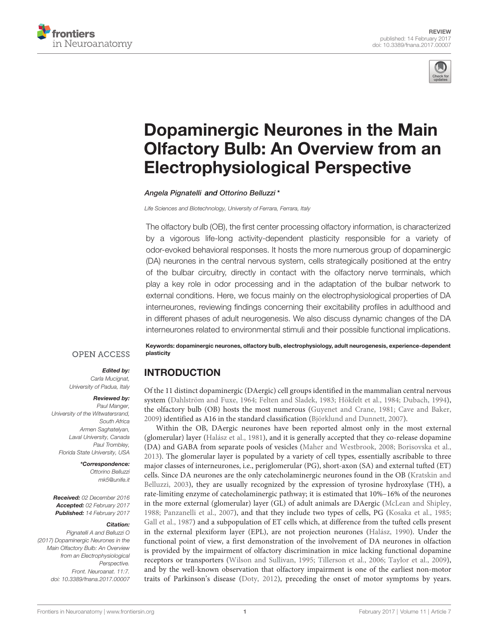



# [Dopaminergic Neurones in the Main](http://journal.frontiersin.org/article/10.3389/fnana.2017.00007/abstract) [Olfactory Bulb: An Overview from an](http://journal.frontiersin.org/article/10.3389/fnana.2017.00007/abstract) [Electrophysiological Perspective](http://journal.frontiersin.org/article/10.3389/fnana.2017.00007/abstract)

[Angela Pignatelli](http://loop.frontiersin.org/people/174493/overview) and [Ottorino Belluzzi](http://loop.frontiersin.org/people/28332/overview)\*

Life Sciences and Biotechnology, University of Ferrara, Ferrara, Italy

The olfactory bulb (OB), the first center processing olfactory information, is characterized by a vigorous life-long activity-dependent plasticity responsible for a variety of odor-evoked behavioral responses. It hosts the more numerous group of dopaminergic (DA) neurones in the central nervous system, cells strategically positioned at the entry of the bulbar circuitry, directly in contact with the olfactory nerve terminals, which play a key role in odor processing and in the adaptation of the bulbar network to external conditions. Here, we focus mainly on the electrophysiological properties of DA interneurones, reviewing findings concerning their excitability profiles in adulthood and in different phases of adult neurogenesis. We also discuss dynamic changes of the DA interneurones related to environmental stimuli and their possible functional implications.

**OPEN ACCESS** 

#### Edited by: Carla Mucignat,

University of Padua, Italy

#### Reviewed by:

Paul Manger, University of the Witwatersrand, South Africa Armen Saghatelyan, Laval University, Canada Paul Trombley, Florida State University, USA

> \*Correspondence: Ottorino Belluzzi [mk5@unife.it](mailto:mk5@unife.it)

Received: 02 December 2016 Accepted: 02 February 2017 Published: 14 February 2017

#### Citation:

Pignatelli A and Belluzzi O (2017) Dopaminergic Neurones in the Main Olfactory Bulb: An Overview from an Electrophysiological Perspective. Front. Neuroanat. 11:7. [doi: 10.3389/fnana.2017.00007](https://doi.org/10.3389/fnana.2017.00007)

Keywords: dopaminergic neurones, olfactory bulb, electrophysiology, adult neurogenesis, experience-dependent plasticity

# INTRODUCTION

Of the 11 distinct dopaminergic (DAergic) cell groups identified in the mammalian central nervous system [\(Dahlström and Fuxe,](#page-7-0) [1964;](#page-7-0) [Felten and Sladek,](#page-7-1) [1983;](#page-7-1) [Hökfelt et al.,](#page-8-0) [1984;](#page-8-0) [Dubach,](#page-7-2) [1994\)](#page-7-2), the olfactory bulb (OB) hosts the most numerous [\(Guyenet and Crane,](#page-8-1) [1981;](#page-8-1) [Cave and Baker,](#page-7-3) [2009\)](#page-7-3) identified as A16 in the standard classification [\(Björklund and Dunnett,](#page-7-4) [2007\)](#page-7-4).

Within the OB, DAergic neurones have been reported almost only in the most external (glomerular) layer [\(Halász et al.,](#page-8-2) [1981\)](#page-8-2), and it is generally accepted that they co-release dopamine (DA) and GABA from separate pools of vesicles [\(Maher and Westbrook,](#page-9-0) [2008;](#page-9-0) [Borisovska et al.,](#page-7-5) [2013\)](#page-7-5). The glomerular layer is populated by a variety of cell types, essentially ascribable to three major classes of interneurones, i.e., periglomerular (PG), short-axon (SA) and external tufted (ET) cells. Since DA neurones are the only catecholaminergic neurones found in the OB [\(Kratskin and](#page-8-3) [Belluzzi,](#page-8-3) [2003\)](#page-8-3), they are usually recognized by the expression of tyrosine hydroxylase (TH), a rate-limiting enzyme of catecholaminergic pathway; it is estimated that 10%–16% of the neurones in the more external (glomerular) layer (GL) of adult animals are DAergic [\(McLean and Shipley,](#page-9-1) [1988;](#page-9-1) [Panzanelli et al.,](#page-9-2) [2007\)](#page-9-2), and that they include two types of cells, PG [\(Kosaka et al.,](#page-8-4) [1985;](#page-8-4) [Gall et al.,](#page-7-6) [1987\)](#page-7-6) and a subpopulation of ET cells which, at difference from the tufted cells present in the external plexiform layer (EPL), are not projection neurones [\(Halász,](#page-8-5) [1990\)](#page-8-5). Under the functional point of view, a first demonstration of the involvement of DA neurones in olfaction is provided by the impairment of olfactory discrimination in mice lacking functional dopamine receptors or transporters [\(Wilson and Sullivan,](#page-10-0) [1995;](#page-10-0) [Tillerson et al.,](#page-9-3) [2006;](#page-9-3) [Taylor et al.,](#page-9-4) [2009\)](#page-9-4), and by the well-known observation that olfactory impairment is one of the earliest non-motor traits of Parkinson's disease [\(Doty,](#page-7-7) [2012\)](#page-7-7), preceding the onset of motor symptoms by years.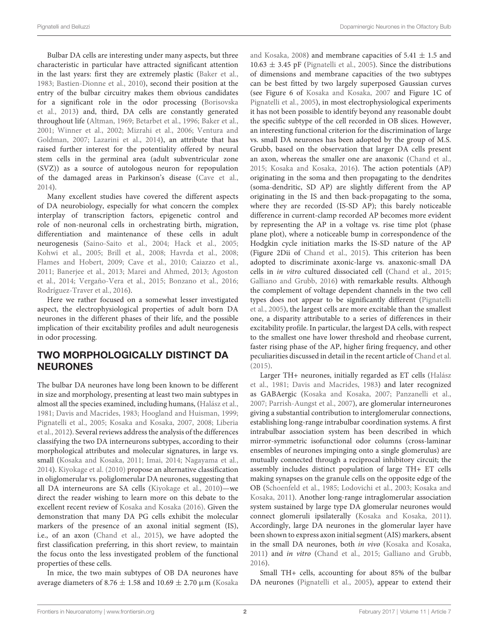Bulbar DA cells are interesting under many aspects, but three characteristic in particular have attracted significant attention in the last years: first they are extremely plastic [\(Baker et al.,](#page-6-0) [1983;](#page-6-0) [Bastien-Dionne et al.,](#page-6-1) [2010\)](#page-6-1), second their position at the entry of the bulbar circuitry makes them obvious candidates for a significant role in the odor processing [\(Borisovska](#page-7-5) [et al.,](#page-7-5) [2013\)](#page-7-5) and, third, DA cells are constantly generated throughout life [\(Altman,](#page-6-2) [1969;](#page-6-2) [Betarbet et al.,](#page-7-8) [1996;](#page-7-8) [Baker et al.,](#page-6-3) [2001;](#page-6-3) [Winner et al.,](#page-10-1) [2002;](#page-10-1) [Mizrahi et al.,](#page-9-5) [2006;](#page-9-5) [Ventura and](#page-9-6) [Goldman,](#page-9-6) [2007;](#page-9-6) [Lazarini et al.,](#page-8-6) [2014\)](#page-8-6), an attribute that has raised further interest for the potentiality offered by neural stem cells in the germinal area (adult subventricular zone (SVZ)) as a source of autologous neuron for repopulation of the damaged areas in Parkinson's disease [\(Cave et al.,](#page-7-9) [2014\)](#page-7-9).

Many excellent studies have covered the different aspects of DA neurobiology, especially for what concern the complex interplay of transcription factors, epigenetic control and role of non-neuronal cells in orchestrating birth, migration, differentiation and maintenance of these cells in adult neurogenesis [\(Saino-Saito et al.,](#page-9-7) [2004;](#page-9-7) [Hack et al.,](#page-8-7) [2005;](#page-8-7) [Kohwi et al.,](#page-8-8) [2005;](#page-8-8) [Brill et al.,](#page-7-10) [2008;](#page-7-10) [Havrda et al.,](#page-8-9) [2008;](#page-8-9) [Flames and Hobert,](#page-7-11) [2009;](#page-7-11) [Cave et al.,](#page-7-12) [2010;](#page-7-12) [Caiazzo et al.,](#page-7-13) [2011;](#page-7-13) [Banerjee et al.,](#page-6-4) [2013;](#page-6-4) [Marei and Ahmed,](#page-9-8) [2013;](#page-9-8) [Agoston](#page-6-5) [et al.,](#page-6-5) [2014;](#page-6-5) [Vergaño-Vera et al.,](#page-9-9) [2015;](#page-9-9) [Bonzano et al.,](#page-7-14) [2016;](#page-7-14) [Rodríguez-Traver et al.,](#page-9-10) [2016\)](#page-9-10).

Here we rather focused on a somewhat lesser investigated aspect, the electrophysiological properties of adult born DA neurones in the different phases of their life, and the possible implication of their excitability profiles and adult neurogenesis in odor processing.

# TWO MORPHOLOGICALLY DISTINCT DA NEURONES

The bulbar DA neurones have long been known to be different in size and morphology, presenting at least two main subtypes in almost all the species examined, including humans, [\(Halász et al.,](#page-8-2) [1981;](#page-8-2) [Davis and Macrides,](#page-7-15) [1983;](#page-7-15) [Hoogland and Huisman,](#page-8-10) [1999;](#page-8-10) [Pignatelli et al.,](#page-9-11) [2005;](#page-9-11) [Kosaka and Kosaka,](#page-8-11) [2007,](#page-8-11) [2008;](#page-8-12) [Liberia](#page-8-13) [et al.,](#page-8-13) [2012\)](#page-8-13). Several reviews address the analysis of the differences classifying the two DA interneurons subtypes, according to their morphological attributes and molecular signatures, in large vs. small [\(Kosaka and Kosaka,](#page-8-14) [2011;](#page-8-14) [Imai,](#page-8-15) [2014;](#page-8-15) [Nagayama et al.,](#page-9-12) [2014\)](#page-9-12). [Kiyokage et al.](#page-8-16) [\(2010\)](#page-8-16) propose an alternative classification in oliglomerular vs. poliglomerular DA neurones, suggesting that all DA interneurons are SA cells [\(Kiyokage et al.,](#page-8-16) [2010\)](#page-8-16)—we direct the reader wishing to learn more on this debate to the excellent recent review of [Kosaka and Kosaka](#page-8-17) [\(2016\)](#page-8-17). Given the demonstration that many DA PG cells exhibit the molecular markers of the presence of an axonal initial segment (IS), i.e., of an axon [\(Chand et al.,](#page-7-16) [2015\)](#page-7-16), we have adopted the first classification preferring, in this short review, to maintain the focus onto the less investigated problem of the functional properties of these cells.

In mice, the two main subtypes of OB DA neurones have average diameters of 8.76  $\pm$  1.58 and 10.69  $\pm$  2.70  $\mu$ m [\(Kosaka](#page-8-12)

[and Kosaka,](#page-8-12) [2008\)](#page-8-12) and membrane capacities of  $5.41 \pm 1.5$  and  $10.63 \pm 3.45$  pF [\(Pignatelli et al.,](#page-9-11) [2005\)](#page-9-11). Since the distributions of dimensions and membrane capacities of the two subtypes can be best fitted by two largely superposed Gaussian curves (see Figure 6 of [Kosaka and Kosaka,](#page-8-11) [2007](#page-8-11) and Figure 1C of [Pignatelli et al.,](#page-9-11) [2005\)](#page-9-11), in most electrophysiological experiments it has not been possible to identify beyond any reasonable doubt the specific subtype of the cell recorded in OB slices. However, an interesting functional criterion for the discrimination of large vs. small DA neurones has been adopted by the group of M.S. Grubb, based on the observation that larger DA cells present an axon, whereas the smaller one are anaxonic [\(Chand et al.,](#page-7-16) [2015;](#page-7-16) [Kosaka and Kosaka,](#page-8-17) [2016\)](#page-8-17). The action potentials (AP) originating in the soma and then propagating to the dendrites (soma-dendritic, SD AP) are slightly different from the AP originating in the IS and then back-propagating to the soma, where they are recorded (IS-SD AP); this barely noticeable difference in current-clamp recorded AP becomes more evident by representing the AP in a voltage vs. rise time plot (phase plane plot), where a noticeable bump in correspondence of the Hodgkin cycle initiation marks the IS-SD nature of the AP (Figure 2Dii of [Chand et al.,](#page-7-16) [2015\)](#page-7-16). This criterion has been adopted to discriminate axonic-large vs. anaxonic-small DA cells in in vitro cultured dissociated cell [\(Chand et al.,](#page-7-16) [2015;](#page-7-16) [Galliano and Grubb,](#page-7-17) [2016\)](#page-7-17) with remarkable results. Although the complement of voltage dependent channels in the two cell types does not appear to be significantly different [\(Pignatelli](#page-9-11) [et al.,](#page-9-11) [2005\)](#page-9-11), the largest cells are more excitable than the smallest one, a disparity attributable to a series of differences in their excitability profile. In particular, the largest DA cells, with respect to the smallest one have lower threshold and rheobase current, faster rising phase of the AP, higher firing frequency, and other peculiarities discussed in detail in the recent article of [Chand et al.](#page-7-16) [\(2015\)](#page-7-16).

Larger TH+ neurones, initially regarded as ET cells [\(Halász](#page-8-2) [et al.,](#page-8-2) [1981;](#page-8-2) [Davis and Macrides,](#page-7-15) [1983\)](#page-7-15) and later recognized as GABAergic [\(Kosaka and Kosaka,](#page-8-11) [2007;](#page-8-11) [Panzanelli et al.,](#page-9-2) [2007;](#page-9-2) [Parrish-Aungst et al.,](#page-9-13) [2007\)](#page-9-13), are glomerular interneurones giving a substantial contribution to interglomerular connections, establishing long-range intrabulbar coordination systems. A first intrabulbar association system has been described in which mirror-symmetric isofunctional odor columns (cross-laminar ensembles of neurones impinging onto a single glomerulus) are mutually connected through a reciprocal inhibitory circuit; the assembly includes distinct population of large TH+ ET cells making synapses on the granule cells on the opposite edge of the OB [\(Schoenfeld et al.,](#page-9-14) [1985;](#page-9-14) [Lodovichi et al.,](#page-8-18) [2003;](#page-8-18) [Kosaka and](#page-8-14) [Kosaka,](#page-8-14) [2011\)](#page-8-14). Another long-range intraglomerular association system sustained by large type DA glomerular neurones would connect glomeruli ipsilaterally [\(Kosaka and Kosaka,](#page-8-14) [2011\)](#page-8-14). Accordingly, large DA neurones in the glomerular layer have been shown to express axon initial segment (AIS) markers, absent in the small DA neurones, both in vivo [\(Kosaka and Kosaka,](#page-8-14) [2011\)](#page-8-14) and in vitro [\(Chand et al.,](#page-7-16) [2015;](#page-7-16) [Galliano and Grubb,](#page-7-17) [2016\)](#page-7-17).

Small TH+ cells, accounting for about 85% of the bulbar DA neurones [\(Pignatelli et al.,](#page-9-11) [2005\)](#page-9-11), appear to extend their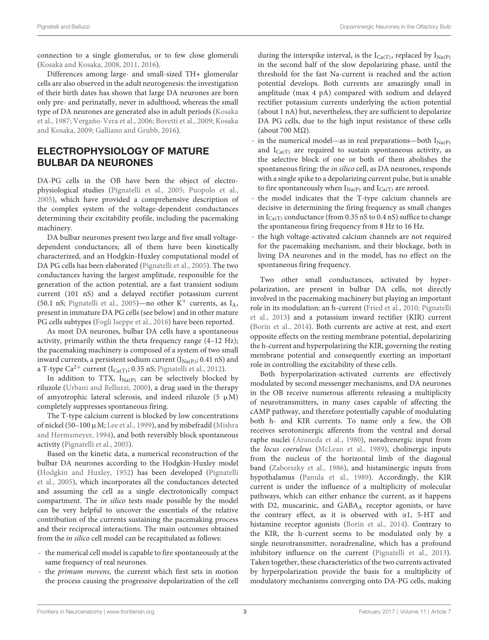connection to a single glomerulus, or to few close glomeruli [\(Kosaka and Kosaka,](#page-8-12) [2008,](#page-8-12) [2011,](#page-8-14) [2016\)](#page-8-17).

Differences among large- and small-sized TH+ glomerular cells are also observed in the adult neurogenesis: the investigation of their birth dates has shown that large DA neurones are born only pre- and perinatally, never in adulthood, whereas the small type of DA neurones are generated also in adult periods [\(Kosaka](#page-8-19) [et al.,](#page-8-19) [1987;](#page-8-19) [Vergaño-Vera et al.,](#page-9-15) [2006;](#page-9-15) [Bovetti et al.,](#page-7-18) [2009;](#page-7-18) [Kosaka](#page-8-20) [and Kosaka,](#page-8-20) [2009;](#page-8-20) [Galliano and Grubb,](#page-7-17) [2016\)](#page-7-17).

# ELECTROPHYSIOLOGY OF MATURE BULBAR DA NEURONES

DA-PG cells in the OB have been the object of electrophysiological studies [\(Pignatelli et al.,](#page-9-11) [2005;](#page-9-11) [Puopolo et al.,](#page-9-16) [2005\)](#page-9-16), which have provided a comprehensive description of the complex system of the voltage-dependent conductances determining their excitability profile, including the pacemaking machinery.

DA bulbar neurones present two large and five small voltagedependent conductances; all of them have been kinetically characterized, and an Hodgkin-Huxley computational model of DA PG cells has been elaborated [\(Pignatelli et al.,](#page-9-11) [2005\)](#page-9-11). The two conductances having the largest amplitude, responsible for the generation of the action potential, are a fast transient sodium current (101 nS) and a delayed rectifier potassium current (50.1 nS; [Pignatelli et al.,](#page-9-11) [2005\)](#page-9-11)—no other  $K^+$  currents, as  $I_A$ , present in immature DA PG cells (see below) and in other mature PG cells subtypes [\(Fogli Iseppe et al.,](#page-7-19) [2016\)](#page-7-19) have been reported.

As most DA neurones, bulbar DA cells have a spontaneous activity, primarily within the theta frequency range (4–12 Hz); the pacemaking machinery is composed of a system of two small inward currents, a persistent sodium current ( $I_{Na(P)}$ ; 0.41 nS) and a T-type Ca<sup>2+</sup> current ( $I_{Ca(T)}$ ; 0.35 nS; [Pignatelli et al.,](#page-9-17) [2012\)](#page-9-17).

In addition to TTX,  $I_{Na(P)}$  can be selectively blocked by riluzole [\(Urbani and Belluzzi,](#page-9-18) [2000\)](#page-9-18), a drug used in the therapy of amyotrophic lateral sclerosis, and indeed riluzole (5  $\mu$ M) completely suppresses spontaneous firing.

The T-type calcium current is blocked by low concentrations of nickel (50–100 µM; [Lee et al.,](#page-8-21) [1999\)](#page-8-21), and by mibefradil [\(Mishra](#page-9-19) [and Hermsmeyer,](#page-9-19) [1994\)](#page-9-19), and both reversibly block spontaneous activity [\(Pignatelli et al.,](#page-9-11) [2005\)](#page-9-11).

Based on the kinetic data, a numerical reconstruction of the bulbar DA neurones according to the Hodgkin-Huxley model [\(Hodgkin and Huxley,](#page-8-22) [1952\)](#page-8-22) has been developed [\(Pignatelli](#page-9-11) [et al.,](#page-9-11) [2005\)](#page-9-11), which incorporates all the conductances detected and assuming the cell as a single electrotonically compact compartment. The in silico tests made possible by the model can be very helpful to uncover the essentials of the relative contribution of the currents sustaining the pacemaking process and their reciprocal interactions. The main outcomes obtained from the in silico cell model can be recapitulated as follows:

- the numerical cell model is capable to fire spontaneously at the same frequency of real neurones.
- the primum movens, the current which first sets in motion the process causing the progressive depolarization of the cell

during the interspike interval, is the I<sub>Ca(T)</sub>, replaced by I<sub>Na(P)</sub> in the second half of the slow depolarizing phase, until the threshold for the fast Na-current is reached and the action potential develops. Both currents are amazingly small in amplitude (max 4 pA) compared with sodium and delayed rectifier potassium currents underlying the action potential (about 1 nA) but, nevertheless, they are sufficient to depolarize DA PG cells, due to the high input resistance of these cells (about 700 MΩ).

- in the numerical model—as in real preparations—both  $I_{Na(P)}$ and  $I_{Ca(T)}$  are required to sustain spontaneous activity, as the selective block of one or both of them abolishes the spontaneous firing: the in silico cell, as DA neurones, responds with a single spike to a depolarizing current pulse, but is unable to fire spontaneously when  $I_{Na(P)}$  and  $I_{Ca(T)}$  are zeroed.
- the model indicates that the T-type calcium channels are decisive in determining the firing frequency as small changes in  $I_{Ca(T)}$  conductance (from 0.35 nS to 0.4 nS) suffice to change the spontaneous firing frequency from 8 Hz to 16 Hz.
- the high voltage-activated calcium channels are not required for the pacemaking mechanism, and their blockage, both in living DA neurones and in the model, has no effect on the spontaneous firing frequency.

Two other small conductances, activated by hyperpolarization, are present in bulbar DA cells, not directly involved in the pacemaking machinery but playing an important role in its modulation: an h-current [\(Fried et al.,](#page-7-20) [2010;](#page-7-20) [Pignatelli](#page-9-20) [et al.,](#page-9-20) [2013\)](#page-9-20) and a potassium inward rectifier (KIR) current [\(Borin et al.,](#page-7-21) [2014\)](#page-7-21). Both currents are active at rest, and exert opposite effects on the resting membrane potential, depolarizing the h-current and hyperpolarizing the KIR, governing the resting membrane potential and consequently exerting an important role in controlling the excitability of these cells.

Both hyperpolarization-activated currents are effectively modulated by second messenger mechanisms, and DA neurones in the OB receive numerous afferents releasing a multiplicity of neurotransmitters, in many cases capable of affecting the cAMP pathway, and therefore potentially capable of modulating both h- and KIR currents. To name only a few, the OB receives serotoninergic afferents from the ventral and dorsal raphe nuclei [\(Araneda et al.,](#page-6-6) [1980\)](#page-6-6), noradrenergic input from the locus coeruleus [\(McLean et al.,](#page-9-21) [1989\)](#page-9-21), cholinergic inputs from the nucleus of the horizontal limb of the diagonal band [\(Zaborszky et al.,](#page-10-2) [1986\)](#page-10-2), and histaminergic inputs from hypothalamus [\(Panula et al.,](#page-9-22) [1989\)](#page-9-22). Accordingly, the KIR current is under the influence of a multiplicity of molecular pathways, which can either enhance the current, as it happens with D2, muscarinic, and GABAA receptor agonists, or have the contrary effect, as it is observed with  $\alpha$ 1, 5-HT and histamine receptor agonists [\(Borin et al.,](#page-7-21) [2014\)](#page-7-21). Contrary to the KIR, the h-current seems to be modulated only by a single neurotransmitter, noradrenaline, which has a profound inhibitory influence on the current [\(Pignatelli et al.,](#page-9-20) [2013\)](#page-9-20). Taken together, these characteristics of the two currents activated by hyperpolarization provide the basis for a multiplicity of modulatory mechanisms converging onto DA-PG cells, making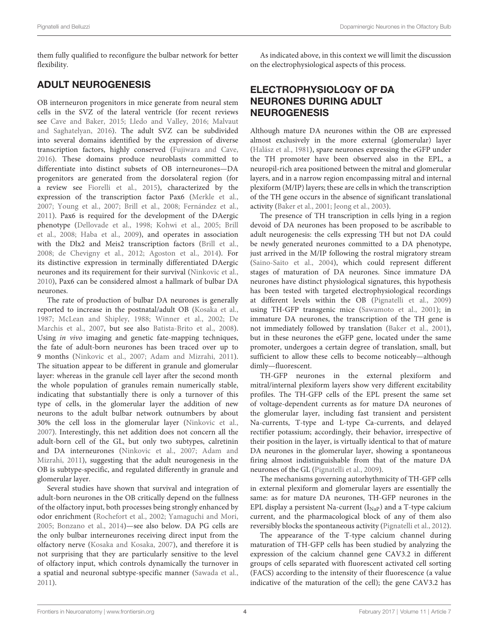them fully qualified to reconfigure the bulbar network for better flexibility.

# ADULT NEUROGENESIS

OB interneuron progenitors in mice generate from neural stem cells in the SVZ of the lateral ventricle (for recent reviews see [Cave and Baker,](#page-7-22) [2015;](#page-7-22) [Lledo and Valley,](#page-8-23) [2016;](#page-8-23) [Malvaut](#page-9-23) [and Saghatelyan,](#page-9-23) [2016\)](#page-9-23). The adult SVZ can be subdivided into several domains identified by the expression of diverse transcription factors, highly conserved [\(Fujiwara and Cave,](#page-7-23) [2016\)](#page-7-23). These domains produce neuroblasts committed to differentiate into distinct subsets of OB interneurones—DA progenitors are generated from the dorsolateral region (for a review see [Fiorelli et al.,](#page-7-24) [2015\)](#page-7-24), characterized by the expression of the transcription factor Pax6 [\(Merkle et al.,](#page-9-24) [2007;](#page-9-24) [Young et al.,](#page-10-3) [2007;](#page-10-3) [Brill et al.,](#page-7-10) [2008;](#page-7-10) [Fernández et al.,](#page-7-25) [2011\)](#page-7-25). Pax6 is required for the development of the DAergic phenotype [\(Dellovade et al.,](#page-7-26) [1998;](#page-7-26) [Kohwi et al.,](#page-8-8) [2005;](#page-8-8) [Brill](#page-7-10) [et al.,](#page-7-10) [2008;](#page-7-10) [Haba et al.,](#page-8-24) [2009\)](#page-8-24), and operates in association with the Dlx2 and Meis2 transcription factors [\(Brill et al.,](#page-7-10) [2008;](#page-7-10) [de Chevigny et al.,](#page-7-27) [2012;](#page-7-27) [Agoston et al.,](#page-6-5) [2014\)](#page-6-5). For its distinctive expression in terminally differentiated DAergic neurones and its requirement for their survival [\(Ninkovic et al.,](#page-9-25) [2010\)](#page-9-25), Pax6 can be considered almost a hallmark of bulbar DA neurones.

The rate of production of bulbar DA neurones is generally reported to increase in the postnatal/adult OB [\(Kosaka et al.,](#page-8-19) [1987;](#page-8-19) [McLean and Shipley,](#page-9-1) [1988;](#page-9-1) [Winner et al.,](#page-10-1) [2002;](#page-10-1) [De](#page-7-28) [Marchis et al.,](#page-7-28) [2007,](#page-7-28) but see also [Batista-Brito et al.,](#page-6-7) [2008\)](#page-6-7). Using in vivo imaging and genetic fate-mapping techniques, the fate of adult-born neurones has been traced over up to 9 months [\(Ninkovic et al.,](#page-9-26) [2007;](#page-9-26) [Adam and Mizrahi,](#page-6-8) [2011\)](#page-6-8). The situation appear to be different in granule and glomerular layer: whereas in the granule cell layer after the second month the whole population of granules remain numerically stable, indicating that substantially there is only a turnover of this type of cells, in the glomerular layer the addition of new neurons to the adult bulbar network outnumbers by about 30% the cell loss in the glomerular layer [\(Ninkovic et al.,](#page-9-26) [2007\)](#page-9-26). Interestingly, this net addition does not concern all the adult-born cell of the GL, but only two subtypes, calretinin and DA interneurones [\(Ninkovic et al.,](#page-9-26) [2007;](#page-9-26) [Adam and](#page-6-8) [Mizrahi,](#page-6-8) [2011\)](#page-6-8), suggesting that the adult neurogenesis in the OB is subtype-specific, and regulated differently in granule and glomerular layer.

Several studies have shown that survival and integration of adult-born neurones in the OB critically depend on the fullness of the olfactory input, both processes being strongly enhanced by odor enrichment [\(Rochefort et al.,](#page-9-27) [2002;](#page-9-27) [Yamaguchi and Mori,](#page-10-4) [2005;](#page-10-4) [Bonzano et al.,](#page-7-29) [2014\)](#page-7-29)—see also below. DA PG cells are the only bulbar interneurones receiving direct input from the olfactory nerve [\(Kosaka and Kosaka,](#page-8-11) [2007\)](#page-8-11), and therefore it is not surprising that they are particularly sensitive to the level of olfactory input, which controls dynamically the turnover in a spatial and neuronal subtype-specific manner [\(Sawada et al.,](#page-9-28) [2011\)](#page-9-28).

As indicated above, in this context we will limit the discussion on the electrophysiological aspects of this process.

# ELECTROPHYSIOLOGY OF DA NEURONES DURING ADULT **NEUROGENESIS**

Although mature DA neurones within the OB are expressed almost exclusively in the more external (glomerular) layer [\(Halász et al.,](#page-8-2) [1981\)](#page-8-2), spare neurones expressing the eGFP under the TH promoter have been observed also in the EPL, a neuropil-rich area positioned between the mitral and glomerular layers, and in a narrow region encompassing mitral and internal plexiform (M/IP) layers; these are cells in which the transcription of the TH gene occurs in the absence of significant translational activity [\(Baker et al.,](#page-6-3) [2001;](#page-6-3) [Jeong et al.,](#page-8-25) [2003\)](#page-8-25).

The presence of TH transcription in cells lying in a region devoid of DA neurones has been proposed to be ascribable to adult neurogenesis: the cells expressing TH but not DA could be newly generated neurones committed to a DA phenotype, just arrived in the M/IP following the rostral migratory stream [\(Saino-Saito et al.,](#page-9-7) [2004\)](#page-9-7), which could represent different stages of maturation of DA neurones. Since immature DA neurones have distinct physiological signatures, this hypothesis has been tested with targeted electrophysiological recordings at different levels within the OB [\(Pignatelli et al.,](#page-9-29) [2009\)](#page-9-29) using TH-GFP transgenic mice [\(Sawamoto et al.,](#page-9-30) [2001\)](#page-9-30); in immature DA neurones, the transcription of the TH gene is not immediately followed by translation [\(Baker et al.,](#page-6-3) [2001\)](#page-6-3), but in these neurones the eGFP gene, located under the same promoter, undergoes a certain degree of translation, small, but sufficient to allow these cells to become noticeably—although dimly—fluorescent.

TH-GFP neurones in the external plexiform and mitral/internal plexiform layers show very different excitability profiles. The TH-GFP cells of the EPL present the same set of voltage-dependent currents as for mature DA neurones of the glomerular layer, including fast transient and persistent Na-currents, T-type and L-type Ca-currents, and delayed rectifier potassium; accordingly, their behavior, irrespective of their position in the layer, is virtually identical to that of mature DA neurones in the glomerular layer, showing a spontaneous firing almost indistinguishable from that of the mature DA neurones of the GL [\(Pignatelli et al.,](#page-9-29) [2009\)](#page-9-29).

The mechanisms governing autorhythmicity of TH-GFP cells in external plexiform and glomerular layers are essentially the same: as for mature DA neurones, TH-GFP neurones in the EPL display a persistent Na-current  $(I_{\text{NaP}})$  and a T-type calcium current, and the pharmacological block of any of them also reversibly blocks the spontaneous activity [\(Pignatelli et al.,](#page-9-17) [2012\)](#page-9-17).

The appearance of the T-type calcium channel during maturation of TH-GFP cells has been studied by analyzing the expression of the calcium channel gene CAV3.2 in different groups of cells separated with fluorescent activated cell sorting (FACS) according to the intensity of their fluorescence (a value indicative of the maturation of the cell); the gene CAV3.2 has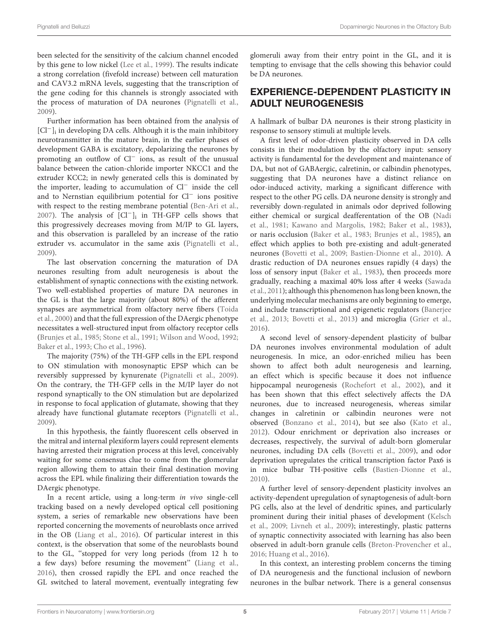been selected for the sensitivity of the calcium channel encoded by this gene to low nickel [\(Lee et al.,](#page-8-21) [1999\)](#page-8-21). The results indicate a strong correlation (fivefold increase) between cell maturation and CAV3.2 mRNA levels, suggesting that the transcription of the gene coding for this channels is strongly associated with the process of maturation of DA neurones [\(Pignatelli et al.,](#page-9-29) [2009\)](#page-9-29).

Further information has been obtained from the analysis of [Cl<sup>−</sup>]<sub>i</sub> in developing DA cells. Although it is the main inhibitory neurotransmitter in the mature brain, in the earlier phases of development GABA is excitatory, depolarizing the neurones by promoting an outflow of Cl<sup>−</sup> ions, as result of the unusual balance between the cation-chloride importer NKCC1 and the extruder KCC2; in newly generated cells this is dominated by the importer, leading to accumulation of Cl<sup>−</sup> inside the cell and to Nernstian equilibrium potential for Cl<sup>−</sup> ions positive with respect to the resting membrane potential [\(Ben-Ari et al.,](#page-6-9) [2007\)](#page-6-9). The analysis of [Cl−]<sup>i</sup> in TH-GFP cells shows that this progressively decreases moving from M/IP to GL layers, and this observation is paralleled by an increase of the ratio extruder vs. accumulator in the same axis [\(Pignatelli et al.,](#page-9-29) [2009\)](#page-9-29).

The last observation concerning the maturation of DA neurones resulting from adult neurogenesis is about the establishment of synaptic connections with the existing network. Two well-established properties of mature DA neurones in the GL is that the large majority (about 80%) of the afferent synapses are asymmetrical from olfactory nerve fibers [\(Toida](#page-9-31) [et al.,](#page-9-31) [2000\)](#page-9-31) and that the full expression of the DAergic phenotype necessitates a well-structured input from olfactory receptor cells [\(Brunjes et al.,](#page-7-30) [1985;](#page-7-30) [Stone et al.,](#page-9-32) [1991;](#page-9-32) [Wilson and Wood,](#page-10-5) [1992;](#page-10-5) [Baker et al.,](#page-6-10) [1993;](#page-6-10) [Cho et al.,](#page-7-31) [1996\)](#page-7-31).

The majority (75%) of the TH-GFP cells in the EPL respond to ON stimulation with monosynaptic EPSP which can be reversibly suppressed by kynurenate [\(Pignatelli et al.,](#page-9-29) [2009\)](#page-9-29). On the contrary, the TH-GFP cells in the M/IP layer do not respond synaptically to the ON stimulation but are depolarized in response to focal application of glutamate, showing that they already have functional glutamate receptors [\(Pignatelli et al.,](#page-9-29) [2009\)](#page-9-29).

In this hypothesis, the faintly fluorescent cells observed in the mitral and internal plexiform layers could represent elements having arrested their migration process at this level, conceivably waiting for some consensus clue to come from the glomerular region allowing them to attain their final destination moving across the EPL while finalizing their differentiation towards the DAergic phenotype.

In a recent article, using a long-term in vivo single-cell tracking based on a newly developed optical cell positioning system, a series of remarkable new observations have been reported concerning the movements of neuroblasts once arrived in the OB [\(Liang et al.,](#page-8-26) [2016\)](#page-8-26). Of particular interest in this context, is the observation that some of the neuroblasts bound to the GL, ''stopped for very long periods (from 12 h to a few days) before resuming the movement'' [\(Liang et al.,](#page-8-26) [2016\)](#page-8-26), then crossed rapidly the EPL and once reached the GL switched to lateral movement, eventually integrating few glomeruli away from their entry point in the GL, and it is tempting to envisage that the cells showing this behavior could be DA neurones.

### EXPERIENCE-DEPENDENT PLASTICITY IN ADULT NEUROGENESIS

A hallmark of bulbar DA neurones is their strong plasticity in response to sensory stimuli at multiple levels.

A first level of odor-driven plasticity observed in DA cells consists in their modulation by the olfactory input: sensory activity is fundamental for the development and maintenance of DA, but not of GABAergic, calretinin, or calbindin phenotypes, suggesting that DA neurones have a distinct reliance on odor-induced activity, marking a significant difference with respect to the other PG cells. DA neurone density is strongly and reversibly down-regulated in animals odor deprived following either chemical or surgical deafferentation of the OB [\(Nadi](#page-9-33) [et al.,](#page-9-33) [1981;](#page-9-33) [Kawano and Margolis,](#page-8-27) [1982;](#page-8-27) [Baker et al.,](#page-6-0) [1983\)](#page-6-0), or naris occlusion [\(Baker et al.,](#page-6-0) [1983;](#page-6-0) [Brunjes et al.,](#page-7-30) [1985\)](#page-7-30), an effect which applies to both pre-existing and adult-generated neurones [\(Bovetti et al.,](#page-7-18) [2009;](#page-7-18) [Bastien-Dionne et al.,](#page-6-1) [2010\)](#page-6-1). A drastic reduction of DA neurones ensues rapidly (4 days) the loss of sensory input [\(Baker et al.,](#page-6-0) [1983\)](#page-6-0), then proceeds more gradually, reaching a maximal 40% loss after 4 weeks [\(Sawada](#page-9-28) [et al.,](#page-9-28) [2011\)](#page-9-28); although this phenomenon has long been known, the underlying molecular mechanisms are only beginning to emerge, and include transcriptional and epigenetic regulators [\(Banerjee](#page-6-4) [et al.,](#page-6-4) [2013;](#page-6-4) [Bovetti et al.,](#page-7-32) [2013\)](#page-7-32) and microglia [\(Grier et al.,](#page-8-28) [2016\)](#page-8-28).

A second level of sensory-dependent plasticity of bulbar DA neurones involves environmental modulation of adult neurogenesis. In mice, an odor-enriched milieu has been shown to affect both adult neurogenesis and learning, an effect which is specific because it does not influence hippocampal neurogenesis [\(Rochefort et al.,](#page-9-27) [2002\)](#page-9-27), and it has been shown that this effect selectively affects the DA neurones, due to increased neurogenesis, whereas similar changes in calretinin or calbindin neurones were not observed [\(Bonzano et al.,](#page-7-29) [2014\)](#page-7-29), but see also [\(Kato et al.,](#page-8-29) [2012\)](#page-8-29). Odour enrichment or deprivation also increases or decreases, respectively, the survival of adult-born glomerular neurones, including DA cells [\(Bovetti et al.,](#page-7-18) [2009\)](#page-7-18), and odor deprivation upregulates the critical transcription factor Pax6 is in mice bulbar TH-positive cells [\(Bastien-Dionne et al.,](#page-6-1) [2010\)](#page-6-1).

A further level of sensory-dependent plasticity involves an activity-dependent upregulation of synaptogenesis of adult-born PG cells, also at the level of dendritic spines, and particularly prominent during their initial phases of development [\(Kelsch](#page-8-30) [et al.,](#page-8-30) [2009;](#page-8-30) [Livneh et al.,](#page-8-31) [2009\)](#page-8-31); interestingly, plastic patterns of synaptic connectivity associated with learning has also been observed in adult-born granule cells [\(Breton-Provencher et al.,](#page-7-33) [2016;](#page-7-33) [Huang et al.,](#page-8-32) [2016\)](#page-8-32).

In this context, an interesting problem concerns the timing of DA neurogenesis and the functional inclusion of newborn neurones in the bulbar network. There is a general consensus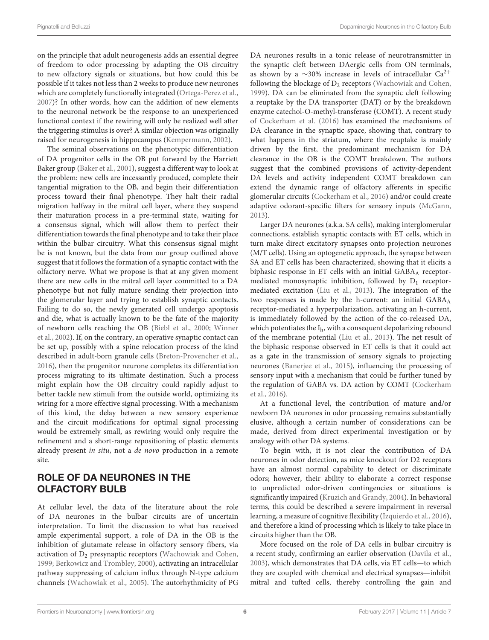on the principle that adult neurogenesis adds an essential degree of freedom to odor processing by adapting the OB circuitry to new olfactory signals or situations, but how could this be possible if it takes not less than 2 weeks to produce new neurones which are completely functionally integrated [\(Ortega-Perez et al.,](#page-9-34) [2007\)](#page-9-34)? In other words, how can the addition of new elements to the neuronal network be the response to an unexperienced functional context if the rewiring will only be realized well after the triggering stimulus is over? A similar objection was originally raised for neurogenesis in hippocampus [\(Kempermann,](#page-8-33) [2002\)](#page-8-33).

The seminal observations on the phenotypic differentiation of DA progenitor cells in the OB put forward by the Harriett Baker group [\(Baker et al.,](#page-6-3) [2001\)](#page-6-3), suggest a different way to look at the problem: new cells are incessantly produced, complete their tangential migration to the OB, and begin their differentiation process toward their final phenotype. They halt their radial migration halfway in the mitral cell layer, where they suspend their maturation process in a pre-terminal state, waiting for a consensus signal, which will allow them to perfect their differentiation towards the final phenotype and to take their place within the bulbar circuitry. What this consensus signal might be is not known, but the data from our group outlined above suggest that it follows the formation of a synaptic contact with the olfactory nerve. What we propose is that at any given moment there are new cells in the mitral cell layer committed to a DA phenotype but not fully mature sending their projection into the glomerular layer and trying to establish synaptic contacts. Failing to do so, the newly generated cell undergo apoptosis and die, what is actually known to be the fate of the majority of newborn cells reaching the OB [\(Biebl et al.,](#page-7-34) [2000;](#page-7-34) [Winner](#page-10-1) [et al.,](#page-10-1) [2002\)](#page-10-1). If, on the contrary, an operative synaptic contact can be set up, possibly with a spine relocation process of the kind described in adult-born granule cells [\(Breton-Provencher et al.,](#page-7-33) [2016\)](#page-7-33), then the progenitor neurone completes its differentiation process migrating to its ultimate destination. Such a process might explain how the OB circuitry could rapidly adjust to better tackle new stimuli from the outside world, optimizing its wiring for a more effective signal processing. With a mechanism of this kind, the delay between a new sensory experience and the circuit modifications for optimal signal processing would be extremely small, as rewiring would only require the refinement and a short-range repositioning of plastic elements already present in situ, not a de novo production in a remote site.

# ROLE OF DA NEURONES IN THE OLFACTORY BULB

At cellular level, the data of the literature about the role of DA neurones in the bulbar circuits are of uncertain interpretation. To limit the discussion to what has received ample experimental support, a role of DA in the OB is the inhibition of glutamate release in olfactory sensory fibers, via activation of D<sub>2</sub> presynaptic receptors [\(Wachowiak and Cohen,](#page-10-6) [1999;](#page-10-6) [Berkowicz and Trombley,](#page-7-35) [2000\)](#page-7-35), activating an intracellular pathway suppressing of calcium influx through N-type calcium channels [\(Wachowiak et al.,](#page-10-7) [2005\)](#page-10-7). The autorhythmicity of PG DA neurones results in a tonic release of neurotransmitter in the synaptic cleft between DAergic cells from ON terminals, as shown by a  $\sim$ 30% increase in levels of intracellular Ca<sup>2+</sup> following the blockage of  $D_2$  receptors [\(Wachowiak and Cohen,](#page-10-6) [1999\)](#page-10-6). DA can be eliminated from the synaptic cleft following a reuptake by the DA transporter (DAT) or by the breakdown enzyme catechol-O-methyl-transferase (COMT). A recent study of [Cockerham et al.](#page-7-36) [\(2016\)](#page-7-36) has examined the mechanisms of DA clearance in the synaptic space, showing that, contrary to what happens in the striatum, where the reuptake is mainly driven by the first, the predominant mechanism for DA clearance in the OB is the COMT breakdown. The authors suggest that the combined provisions of activity-dependent DA levels and activity independent COMT breakdown can extend the dynamic range of olfactory afferents in specific glomerular circuits [\(Cockerham et al.,](#page-7-36) [2016\)](#page-7-36) and/or could create adaptive odorant-specific filters for sensory inputs [\(McGann,](#page-9-35) [2013\)](#page-9-35).

Larger DA neurones (a.k.a. SA cells), making interglomerular connections, establish synaptic contacts with ET cells, which in turn make direct excitatory synapses onto projection neurones (M/T cells). Using an optogenetic approach, the synapse between SA and ET cells has been characterized, showing that it elicits a biphasic response in ET cells with an initial GABAA receptormediated monosynaptic inhibition, followed by  $D_1$  receptormediated excitation [\(Liu et al.,](#page-8-34) [2013\)](#page-8-34). The integration of the two responses is made by the h-current: an initial GABAA receptor-mediated a hyperpolarization, activating an h-current, is immediately followed by the action of the co-released DA, which potentiates the  $I<sub>h</sub>$ , with a consequent depolarizing rebound of the membrane potential [\(Liu et al.,](#page-8-34) [2013\)](#page-8-34). The net result of the biphasic response observed in ET cells is that it could act as a gate in the transmission of sensory signals to projecting neurones [\(Banerjee et al.,](#page-6-11) [2015\)](#page-6-11), influencing the processing of sensory input with a mechanism that could be further tuned by the regulation of GABA vs. DA action by COMT [\(Cockerham](#page-7-36) [et al.,](#page-7-36) [2016\)](#page-7-36).

At a functional level, the contribution of mature and/or newborn DA neurones in odor processing remains substantially elusive, although a certain number of considerations can be made, derived from direct experimental investigation or by analogy with other DA systems.

To begin with, it is not clear the contribution of DA neurones in odor detection, as mice knockout for D2 receptors have an almost normal capability to detect or discriminate odors; however, their ability to elaborate a correct response to unpredicted odor-driven contingencies or situations is significantly impaired [\(Kruzich and Grandy,](#page-8-35) [2004\)](#page-8-35). In behavioral terms, this could be described a severe impairment in reversal learning, a measure of cognitive flexibility [\(Izquierdo et al.,](#page-8-36) [2016\)](#page-8-36), and therefore a kind of processing which is likely to take place in circuits higher than the OB.

More focused on the role of DA cells in bulbar circuitry is a recent study, confirming an earlier observation [\(Davila et al.,](#page-7-37) [2003\)](#page-7-37), which demonstrates that DA cells, via ET cells—to which they are coupled with chemical and electrical synapses—inhibit mitral and tufted cells, thereby controlling the gain and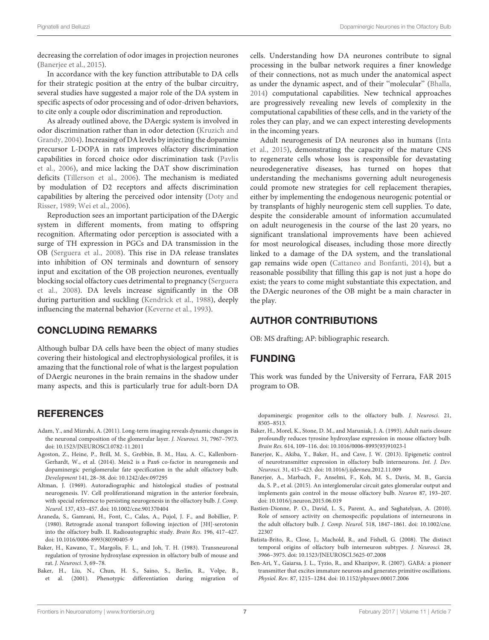decreasing the correlation of odor images in projection neurones [\(Banerjee et al.,](#page-6-11) [2015\)](#page-6-11).

In accordance with the key function attributable to DA cells for their strategic position at the entry of the bulbar circuitry, several studies have suggested a major role of the DA system in specific aspects of odor processing and of odor-driven behaviors, to cite only a couple odor discrimination and reproduction.

As already outlined above, the DAergic system is involved in odor discrimination rather than in odor detection [\(Kruzich and](#page-8-35) [Grandy,](#page-8-35) [2004\)](#page-8-35). Increasing of DA levels by injecting the dopamine precursor L-DOPA in rats improves olfactory discrimination capabilities in forced choice odor discrimination task [\(Pavlis](#page-9-36) [et al.,](#page-9-36) [2006\)](#page-9-36), and mice lacking the DAT show discrimination deficits [\(Tillerson et al.,](#page-9-3) [2006\)](#page-9-3). The mechanism is mediated by modulation of D2 receptors and affects discrimination capabilities by altering the perceived odor intensity [\(Doty and](#page-7-38) [Risser,](#page-7-38) [1989;](#page-7-38) [Wei et al.,](#page-10-8) [2006\)](#page-10-8).

Reproduction sees an important participation of the DAergic system in different moments, from mating to offspring recognition. Aftermating odor perception is associated with a surge of TH expression in PGCs and DA transmission in the OB [\(Serguera et al.,](#page-9-37) [2008\)](#page-9-37). This rise in DA release translates into inhibition of ON terminals and downturn of sensory input and excitation of the OB projection neurones, eventually blocking social olfactory cues detrimental to pregnancy [\(Serguera](#page-9-37) [et al.,](#page-9-37) [2008\)](#page-9-37). DA levels increase significantly in the OB during parturition and suckling [\(Kendrick et al.,](#page-8-37) [1988\)](#page-8-37), deeply influencing the maternal behavior [\(Keverne et al.,](#page-8-38) [1993\)](#page-8-38).

#### CONCLUDING REMARKS

Although bulbar DA cells have been the object of many studies covering their histological and electrophysiological profiles, it is amazing that the functional role of what is the largest population of DAergic neurones in the brain remains in the shadow under many aspects, and this is particularly true for adult-born DA

#### **REFERENCES**

- <span id="page-6-8"></span>Adam, Y., and Mizrahi, A. (2011). Long-term imaging reveals dynamic changes in the neuronal composition of the glomerular layer. J. Neurosci. 31, 7967–7973. [doi: 10.1523/JNEUROSCI.0782-11.2011](https://doi.org/10.1523/JNEUROSCI.0782-11.2011)
- <span id="page-6-5"></span>Agoston, Z., Heine, P., Brill, M. S., Grebbin, B. M., Hau, A. C., Kallenborn-Gerhardt, W., et al. (2014). Meis2 is a Pax6 co-factor in neurogenesis and dopaminergic periglomerular fate specification in the adult olfactory bulb. Development 141, 28–38. [doi: 10.1242/dev.097295](https://doi.org/10.1242/dev.097295)
- <span id="page-6-2"></span>Altman, J. (1969). Autoradiographic and histological studies of postnatal neurogenesis. IV. Cell proliferationand migration in the anterior forebrain, with special reference to persisting neurogenesis in the olfactory bulb. J. Comp. Neurol. 137, 433–457. [doi: 10.1002/cne.901370404](https://doi.org/10.1002/cne.901370404)
- <span id="page-6-6"></span>Araneda, S., Gamrani, H., Font, C., Calas, A., Pujol, J. F., and Bobillier, P. (1980). Retrograde axonal transport following injection of [3H]-serotonin into the olfactory bulb. II. Radioautographic study. Brain Res. 196, 417–427. [doi: 10.1016/0006-8993\(80\)90405-9](https://doi.org/10.1016/0006-8993(80)90405-9)
- <span id="page-6-0"></span>Baker, H., Kawano, T., Margolis, F. L., and Joh, T. H. (1983). Transneuronal regulation of tyrosine hydroxylase expression in olfactory bulb of mouse and rat. J. Neurosci. 3, 69–78.
- <span id="page-6-3"></span>Baker, H., Liu, N., Chun, H. S., Saino, S., Berlin, R., Volpe, B., et al. (2001). Phenotypic differentiation during migration of

cells. Understanding how DA neurones contribute to signal processing in the bulbar network requires a finer knowledge of their connections, not as much under the anatomical aspect as under the dynamic aspect, and of their ''molecular'' [\(Bhalla,](#page-7-39) [2014\)](#page-7-39) computational capabilities. New technical approaches are progressively revealing new levels of complexity in the computational capabilities of these cells, and in the variety of the roles they can play, and we can expect interesting developments in the incoming years.

Adult neurogenesis of DA neurones also in humans [\(Inta](#page-8-39) [et al.,](#page-8-39) [2015\)](#page-8-39), demonstrating the capacity of the mature CNS to regenerate cells whose loss is responsible for devastating neurodegenerative diseases, has turned on hopes that understanding the mechanisms governing adult neurogenesis could promote new strategies for cell replacement therapies, either by implementing the endogenous neurogenic potential or by transplants of highly neurogenic stem cell supplies. To date, despite the considerable amount of information accumulated on adult neurogenesis in the course of the last 20 years, no significant translational improvements have been achieved for most neurological diseases, including those more directly linked to a damage of the DA system, and the translational gap remains wide open [\(Cattaneo and Bonfanti,](#page-7-40) [2014\)](#page-7-40), but a reasonable possibility that filling this gap is not just a hope do exist; the years to come might substantiate this expectation, and the DAergic neurones of the OB might be a main character in the play.

#### AUTHOR CONTRIBUTIONS

OB: MS drafting; AP: bibliographic research.

#### FUNDING

This work was funded by the University of Ferrara, FAR 2015 program to OB.

dopaminergic progenitor cells to the olfactory bulb. J. Neurosci. 21, 8505–8513.

- <span id="page-6-10"></span>Baker, H., Morel, K., Stone, D. M., and Maruniak, J. A. (1993). Adult naris closure profoundly reduces tyrosine hydroxylase expression in mouse olfactory bulb. Brain Res. 614, 109–116. [doi: 10.1016/0006-8993\(93\)91023-l](https://doi.org/10.1016/0006-8993(93)91023-l)
- <span id="page-6-4"></span>Banerjee, K., Akiba, Y., Baker, H., and Cave, J. W. (2013). Epigenetic control of neurotransmitter expression in olfactory bulb interneurons. Int. J. Dev. Neurosci. 31, 415–423. [doi: 10.1016/j.ijdevneu.2012.11.009](https://doi.org/10.1016/j.ijdevneu.2012.11.009)
- <span id="page-6-11"></span>Banerjee, A., Marbach, F., Anselmi, F., Koh, M. S., Davis, M. B., Garcia da, S. P., et al. (2015). An interglomerular circuit gates glomerular output and implements gain control in the mouse olfactory bulb. Neuron 87, 193–207. [doi: 10.1016/j.neuron.2015.06.019](https://doi.org/10.1016/j.neuron.2015.06.019)
- <span id="page-6-1"></span>Bastien-Dionne, P. O., David, L. S., Parent, A., and Saghatelyan, A. (2010). Role of sensory activity on chemospecific populations of interneurons in the adult olfactory bulb. J. Comp. Neurol. 518, 1847–1861. [doi: 10.1002/cne.](https://doi.org/10.1002/cne.22307) [22307](https://doi.org/10.1002/cne.22307)
- <span id="page-6-7"></span>Batista-Brito, R., Close, J., Machold, R., and Fishell, G. (2008). The distinct temporal origins of olfactory bulb interneuron subtypes. J. Neurosci. 28, 3966–3975. [doi: 10.1523/JNEUROSCI.5625-07.2008](https://doi.org/10.1523/JNEUROSCI.5625-07.2008)
- <span id="page-6-9"></span>Ben-Ari, Y., Gaiarsa, J. L., Tyzio, R., and Khazipov, R. (2007). GABA: a pioneer transmitter that excites immature neurons and generates primitive oscillations. Physiol. Rev. 87, 1215–1284. [doi: 10.1152/physrev.00017.2006](https://doi.org/10.1152/physrev.00017.2006)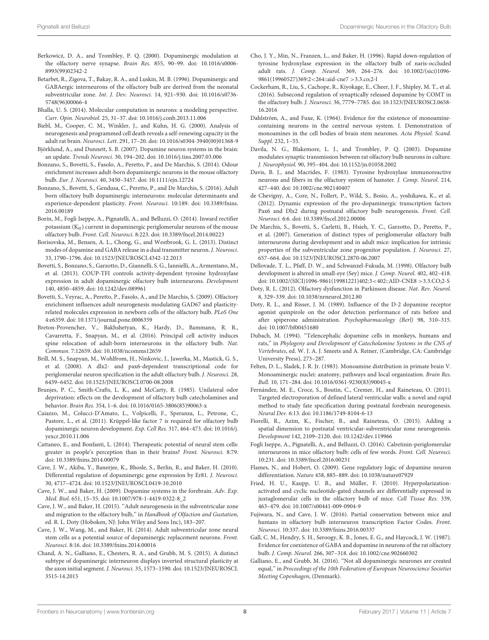- <span id="page-7-35"></span>Berkowicz, D. A., and Trombley, P. Q. (2000). Dopaminergic modulation at the olfactory nerve synapse. Brain Res. 855, 90–99. [doi: 10.1016/s0006-](https://doi.org/10.1016/s0006-8993(99)02342-2) [8993\(99\)02342-2](https://doi.org/10.1016/s0006-8993(99)02342-2)
- <span id="page-7-8"></span>Betarbet, R., Zigova, T., Bakay, R. A., and Luskin, M. B. (1996). Dopaminergic and GABAergic interneurons of the olfactory bulb are derived from the neonatal subventricular zone. Int. J. Dev. Neurosci. 14, 921–930. [doi: 10.1016/s0736-](https://doi.org/10.1016/s0736-5748(96)00066-4) [5748\(96\)00066-4](https://doi.org/10.1016/s0736-5748(96)00066-4)
- <span id="page-7-39"></span>Bhalla, U. S. (2014). Molecular computation in neurons: a modeling perspective. Curr. Opin. Neurobiol. 25, 31–37. [doi: 10.1016/j.conb.2013.11.006](https://doi.org/10.1016/j.conb.2013.11.006)
- <span id="page-7-34"></span>Biebl, M., Cooper, C. M., Winkler, J., and Kuhn, H. G. (2000). Analysis of neurogenesis and programmed cell death reveals a self-renewing capacity in the adult rat brain. Neurosci. Lett. 291, 17–20. [doi: 10.1016/s0304-3940\(00\)01368-9](https://doi.org/10.1016/s0304-3940(00)01368-9)
- <span id="page-7-4"></span>Björklund, A., and Dunnett, S. B. (2007). Dopamine neuron systems in the brain: an update. Trends Neurosci. 30, 194–202. [doi: 10.1016/j.tins.2007.03.006](https://doi.org/10.1016/j.tins.2007.03.006)
- <span id="page-7-29"></span>Bonzano, S., Bovetti, S., Fasolo, A., Peretto, P., and De Marchis, S. (2014). Odour enrichment increases adult-born dopaminergic neurons in the mouse olfactory bulb. Eur. J. Neurosci. 40, 3450–3457. [doi: 10.1111/ejn.12724](https://doi.org/10.1111/ejn.12724)
- <span id="page-7-14"></span>Bonzano, S., Bovetti, S., Gendusa, C., Peretto, P., and De Marchis, S. (2016). Adult born olfactory bulb dopaminergic interneurons: molecular determinants and experience-dependent plasticity. Front. Neurosci. 10:189. [doi: 10.3389/fnins.](https://doi.org/10.3389/fnins.2016.00189) [2016.00189](https://doi.org/10.3389/fnins.2016.00189)
- <span id="page-7-21"></span>Borin, M., Fogli Iseppe, A., Pignatelli, A., and Belluzzi, O. (2014). Inward rectifier potassium (Kir) current in dopaminergic periglomerular neurons of the mouse olfactory bulb. Front. Cell. Neurosci. 8:223. [doi: 10.3389/fncel.2014.00223](https://doi.org/10.3389/fncel.2014.00223)
- <span id="page-7-5"></span>Borisovska, M., Bensen, A. L., Chong, G., and Westbrook, G. L. (2013). Distinct modes of dopamine and GABA release in a dual transmitter neuron. J. Neurosci. 33, 1790–1796. [doi: 10.1523/JNEUROSCI.4342-12.2013](https://doi.org/10.1523/JNEUROSCI.4342-12.2013)
- <span id="page-7-32"></span>Bovetti, S., Bonzano, S., Garzotto, D., Giannelli, S. G., Iannielli, A., Armentano, M., et al. (2013). COUP-TFI controls activity-dependent tyrosine hydroxylase expression in adult dopaminergic olfactory bulb interneurons. Development 140, 4850–4859. [doi: 10.1242/dev.089961](https://doi.org/10.1242/dev.089961)
- <span id="page-7-18"></span>Bovetti, S., Veyrac, A., Peretto, P., Fasolo, A., and De Marchis, S. (2009). Olfactory enrichment influences adult neurogenesis modulating GAD67 and plasticityrelated molecules expression in newborn cells of the olfactory bulb. PLoS One 4:e6359. [doi: 10.1371/journal.pone.0006359](https://doi.org/10.1371/journal.pone.0006359)
- <span id="page-7-33"></span>Breton-Provencher, V., Bakhshetyan, K., Hardy, D., Bammann, R. R., Cavarretta, F., Snapyan, M., et al. (2016). Principal cell activity induces spine relocation of adult-born interneurons in the olfactory bulb. Nat. Commun. 7:12659. [doi: 10.1038/ncomms12659](https://doi.org/10.1038/ncomms12659)
- <span id="page-7-10"></span>Brill, M. S., Snapyan, M., Wohlfrom, H., Ninkovic, J., Jawerka, M., Mastick, G. S., et al. (2008). A dlx2- and pax6-dependent transcriptional code for periglomerular neuron specification in the adult olfactory bulb. J. Neurosci. 28, 6439–6452. [doi: 10.1523/JNEUROSCI.0700-08.2008](https://doi.org/10.1523/JNEUROSCI.0700-08.2008)
- <span id="page-7-30"></span>Brunjes, P. C., Smith-Crafts, L. K., and McCarty, R. (1985). Unilateral odor deprivation: effects on the development of olfactory bulb catecholamines and behavior. Brain Res. 354, 1–6. [doi: 10.1016/0165-3806\(85\)90063-x](https://doi.org/10.1016/0165-3806(85)90063-x)
- <span id="page-7-13"></span>Caiazzo, M., Colucci-D'Amato, L., Volpicelli, F., Speranza, L., Petrone, C., Pastore, L., et al. (2011). Krüppel-like factor 7 is required for olfactory bulb dopaminergic neuron development. Exp. Cell Res. 317, 464–473. [doi: 10.1016/j.](https://doi.org/10.1016/j.yexcr.2010.11.006) [yexcr.2010.11.006](https://doi.org/10.1016/j.yexcr.2010.11.006)
- <span id="page-7-40"></span>Cattaneo, E., and Bonfanti, L. (2014). Therapeutic potential of neural stem cells: greater in people's perception than in their brains? Front. Neurosci. 8:79. [doi: 10.3389/fnins.2014.00079](https://doi.org/10.3389/fnins.2014.00079)
- <span id="page-7-12"></span>Cave, J. W., Akiba, Y., Banerjee, K., Bhosle, S., Berlin, R., and Baker, H. (2010). Differential regulation of dopaminergic gene expression by Er81. J. Neurosci. 30, 4717–4724. [doi: 10.1523/JNEUROSCI.0419-10.2010](https://doi.org/10.1523/JNEUROSCI.0419-10.2010)
- <span id="page-7-3"></span>Cave, J. W., and Baker, H. (2009). Dopamine systems in the forebrain. Adv. Exp. Med. Biol. 651, 15–35. [doi: 10.1007/978-1-4419-0322-8\\_2](https://doi.org/10.1007/978-1-4419-0322-8_2)
- <span id="page-7-22"></span>Cave, J. W., and Baker, H. (2015). ''Adult neurogenesis in the subventricular zone and migration to the olfactory bulb,'' in Handbook of Olfaction and Gustation, ed. R. L. Doty (Hoboken, NJ: John Wiley and Sons Inc), 183–207.
- <span id="page-7-9"></span>Cave, J. W., Wang, M., and Baker, H. (2014). Adult subventricular zone neural stem cells as a potential source of dopaminergic replacement neurons. Front. Neurosci. 8:16. [doi: 10.3389/fnins.2014.00016](https://doi.org/10.3389/fnins.2014.00016)
- <span id="page-7-16"></span>Chand, A. N., Galliano, E., Chesters, R. A., and Grubb, M. S. (2015). A distinct subtype of dopaminergic interneuron displays inverted structural plasticity at the axon initial segment. J. Neurosci. 35, 1573–1590. [doi: 10.1523/JNEUROSCI.](https://doi.org/10.1523/JNEUROSCI.3515-14.2015) [3515-14.2015](https://doi.org/10.1523/JNEUROSCI.3515-14.2015)
- <span id="page-7-31"></span>Cho, J. Y., Min, N., Franzen, L., and Baker, H. (1996). Rapid down-regulation of tyrosine hydroxylase expression in the olfactory bulb of naris-occluded adult rats. J. Comp. Neurol. 369, 264–276. [doi: 10.1002/\(sici\)1096-](https://doi.org/10.1002/(sici)1096-9861(19960527)369:2$<$264::aid-cne7~$>$3.3.co;2-l) [9861\(19960527\)369:2](https://doi.org/10.1002/(sici)1096-9861(19960527)369:2$<$264::aid-cne7~$>$3.3.co;2-l)<264::aid-cne7 >3.3.co;2-l
- <span id="page-7-36"></span>Cockerham, R., Liu, S., Cachope, R., Kiyokage, E., Cheer, J. F., Shipley, M. T., et al. (2016). Subsecond regulation of synaptically released dopamine by COMT in the olfactory bulb. J. Neurosci. 36, 7779–7785. [doi: 10.1523/JNEUROSCI.0658-](https://doi.org/10.1523/JNEUROSCI.0658-16.2016) [16.2016](https://doi.org/10.1523/JNEUROSCI.0658-16.2016)
- <span id="page-7-0"></span>Dahlström, A., and Fuxe, K. (1964). Evidence for the existence of monoaminecontaining neurons in the central nervous system. I. Demonstration of monoamines in the cell bodies of brain stem neurones. Acta Physiol. Scand. Suppl. 232, 1–55.
- <span id="page-7-37"></span>Davila, N. G., Blakemore, L. J., and Trombley, P. Q. (2003). Dopamine modulates synaptic transmission between rat olfactory bulb neurons in culture. J. Neurophysiol. 90, 395–404. [doi: 10.1152/jn.01058.2002](https://doi.org/10.1152/jn.01058.2002)
- <span id="page-7-15"></span>Davis, B. J., and Macrides, F. (1983). Tyrosine hydroxylase immunoreactive neurons and fibers in the olfactory system of hamster. J. Comp. Neurol. 214, 427–440. [doi: 10.1002/cne.902140407](https://doi.org/10.1002/cne.902140407)
- <span id="page-7-27"></span>de Chevigny, A., Core, N., Follert, P., Wild, S., Bosio, A., yoshikawa, K., et al. (2012). Dynamic expression of the pro-dopaminergic transcription factors Pax6 and Dlx2 during postnatal olfactory bulb neurogenesis. Front. Cell. Neurosci. 6:6. [doi: 10.3389/fncel.2012.00006](https://doi.org/10.3389/fncel.2012.00006)
- <span id="page-7-28"></span>De Marchis, S., Bovetti, S., Carletti, B., Hsieh, Y. C., Garzotto, D., Peretto, P., et al. (2007). Generation of distinct types of periglomerular olfactory bulb interneurons during development and in adult mice: implication for intrinsic properties of the subventricular zone progenitor population. J. Neurosci. 27, 657–664. [doi: 10.1523/JNEUROSCI.2870-06.2007](https://doi.org/10.1523/JNEUROSCI.2870-06.2007)
- <span id="page-7-26"></span>Dellovade, T. L., Pfaff, D. W., and Schwanzel-Fukuda, M. (1998). Olfactory bulb development is altered in small-eye (Sey) mice. J. Comp. Neurol. 402, 402–418. [doi: 10.1002/\(SICI\)1096-9861\(19981221\)402:3](https://doi.org/10.1002/(SICI)1096-9861(19981221)402:3<402::AID-CNE8>3.3.CO;2-S)<402::AID-CNE8 >3.3.CO;2-S
- <span id="page-7-7"></span>Doty, R. L. (2012). Olfactory dysfunction in Parkinson disease. Nat. Rev. Neurol. 8, 329–339. [doi: 10.1038/nrneurol.2012.80](https://doi.org/10.1038/nrneurol.2012.80)
- <span id="page-7-38"></span>Doty, R. L., and Risser, J. M. (1989). Influence of the D-2 dopamine receptor agonist quinpirole on the odor detection performance of rats before and after spiperone administration. Psychopharmacology (Berl) 98, 310–315. [doi: 10.1007/bf00451680](https://doi.org/10.1007/bf00451680)
- <span id="page-7-2"></span>Dubach, M. (1994). ''Telencephalic dopamine cells in monkeys, humans and rats,'' in Phylogeny and Development of Catecholamine Systems in the CNS of Vertebrates, ed. W. J. A. J. Smeets and A. Reiner, (Cambridge, CA: Cambridge University Press), 273–287.
- <span id="page-7-1"></span>Felten, D. L., Sladek, J. R. Jr. (1983). Monoamine distribution in primate brain V. Monoaminergic nuclei: anatomy, pathways and local organization. Brain Res. Bull. 10, 171–284. [doi: 10.1016/0361-9230\(83\)90045-x](https://doi.org/10.1016/0361-9230(83)90045-x)
- <span id="page-7-25"></span>Fernández, M. E., Croce, S., Boutin, C., Cremer, H., and Raineteau, O. (2011). Targeted electroporation of defined lateral ventricular walls: a novel and rapid method to study fate specification during postnatal forebrain neurogenesis. Neural Dev. 6:13. [doi: 10.1186/1749-8104-6-13](https://doi.org/10.1186/1749-8104-6-13)
- <span id="page-7-24"></span>Fiorelli, R., Azim, K., Fischer, B., and Raineteau, O. (2015). Adding a spatial dimension to postnatal ventricular-subventricular zone neurogenesis. Development 142, 2109–2120. [doi: 10.1242/dev.119966](https://doi.org/10.1242/dev.119966)
- <span id="page-7-19"></span>Fogli Iseppe, A., Pignatelli, A., and Belluzzi, O. (2016). Calretinin-periglomerular interneurons in mice olfactory bulb: cells of few words. Front. Cell. Neurosci. 10:231. [doi: 10.3389/fncel.2016.00231](https://doi.org/10.3389/fncel.2016.00231)
- <span id="page-7-11"></span>Flames, N., and Hobert, O. (2009). Gene regulatory logic of dopamine neuron differentiation. Nature 458, 885–889. [doi: 10.1038/nature07929](https://doi.org/10.1038/nature07929)
- <span id="page-7-20"></span>Fried, H. U., Kaupp, U. B., and Müller, F. (2010). Hyperpolarizationactivated and cyclic nucleotide-gated channels are differentially expressed in juxtaglomerular cells in the olfactory bulb of mice. Cell Tissue Res. 339, 463–479. [doi: 10.1007/s00441-009-0904-9](https://doi.org/10.1007/s00441-009-0904-9)
- <span id="page-7-23"></span>Fujiwara, N., and Cave, J. W. (2016). Partial conservation between mice and humans in olfactory bulb interneuron transcription Factor Codes. Front. Neurosci. 10:337. [doi: 10.3389/fnins.2016.00337](https://doi.org/10.3389/fnins.2016.00337)
- <span id="page-7-6"></span>Gall, C. M., Hendry, S. H., Seroogy, K. B., Jones, E. G., and Haycock, J. W. (1987). Evidence for coexistence of GABA and dopamine in neurons of the rat olfactory bulb. J. Comp. Neurol. 266, 307–318. [doi: 10.1002/cne.902660302](https://doi.org/10.1002/cne.902660302)
- <span id="page-7-17"></span>Galliano, E., and Grubb, M. (2016). ''Not all dopaminergic neurones are created equal,'' in Proceedings of the 10th Federation of European Neuroscience Societies Meeting Copenhagen, (Denmark).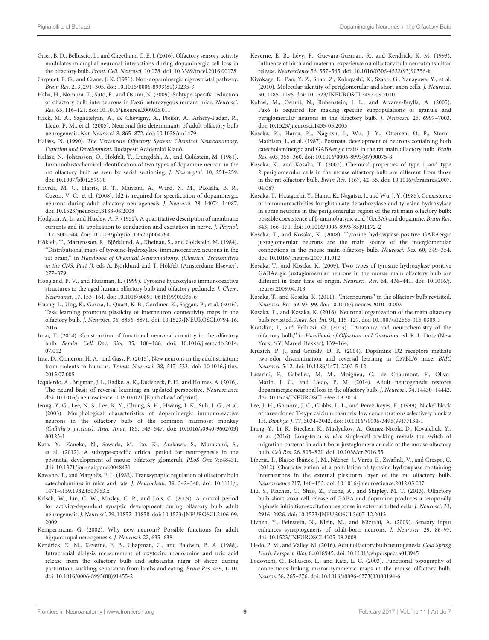- <span id="page-8-28"></span>Grier, B. D., Belluscio, L., and Cheetham, C. E. J. (2016). Olfactory sensory activity modulates microglial-neuronal interactions during dopaminergic cell loss in the olfactory bulb. Front. Cell. Neurosci. 10:178. [doi: 10.3389/fncel.2016.00178](https://doi.org/10.3389/fncel.2016.00178)
- <span id="page-8-1"></span>Guyenet, P. G., and Crane, J. K. (1981). Non-dopaminergic nigrostriatal pathway. Brain Res. 213, 291–305. [doi: 10.1016/0006-8993\(81\)90235-3](https://doi.org/10.1016/0006-8993(81)90235-3)
- <span id="page-8-24"></span>Haba, H., Nomura, T., Suto, F., and Osumi, N. (2009). Subtype-specific reduction of olfactory bulb interneurons in Pax6 heterozygous mutant mice. Neurosci. Res. 65, 116–121. [doi: 10.1016/j.neures.2009.05.011](https://doi.org/10.1016/j.neures.2009.05.011)
- <span id="page-8-7"></span>Hack, M. A., Saghatelyan, A., de Chevigny, A., Pfeifer, A., Ashery-Padan, R., Lledo, P. M., et al. (2005). Neuronal fate determinants of adult olfactory bulb neurogenesis. Nat. Neurosci. 8, 865–872. [doi: 10.1038/nn1479](https://doi.org/10.1038/nn1479)
- <span id="page-8-5"></span>Halász, N. (1990). The Vertebrate Olfactory System: Chemical Neuroanatomy, Function and Development. Budapest: Académiai Kiadó.
- <span id="page-8-2"></span>Halász, N., Johansson, O., Hökfelt, T., Ljungdahl, A., and Goldstein, M. (1981). Immunohistochemical identification of two types of dopamine neuron in the rat olfactory bulb as seen by serial sectioning. J. Neurocytol. 10, 251–259. [doi: 10.1007/bf01257970](https://doi.org/10.1007/bf01257970)
- <span id="page-8-9"></span>Havrda, M. C., Harris, B. T., Mantani, A., Ward, N. M., Paolella, B. R., Cuzon, V. C., et al. (2008). Id2 is required for specification of dopaminergic neurons during adult olfactory neurogenesis. J. Neurosci. 28, 14074–14087. [doi: 10.1523/jneurosci.3188-08.2008](https://doi.org/10.1523/jneurosci.3188-08.2008)
- <span id="page-8-22"></span>Hodgkin, A. L., and Huxley, A. F. (1952). A quantitative description of membrane currents and its application to conduction and excitation in nerve. J. Physiol. 117, 500–544. [doi: 10.1113/jphysiol.1952.sp004764](https://doi.org/10.1113/jphysiol.1952.sp004764)
- <span id="page-8-0"></span>Hökfelt, T., Martensson, R., Björklund, A., Kheinau, S., and Goldstein, M. (1984). ''Distributional maps of tyrosine-hydroxylase-immunoreactive neurons in the rat brain,'' in Handbook of Chemical Neuroanatomy. (Classical Transmitters in the CNS, Part I), eds A. Björklund and T. Hökfelt (Amsterdam: Elsevier), 277–379.
- <span id="page-8-10"></span>Hoogland, P. V., and Huisman, E. (1999). Tyrosine hydroxylase immunoreactive structures in the aged human olfactory bulb and olfactory peduncle. J. Chem. Neuroanat. 17, 153–161. [doi: 10.1016/s0891-0618\(99\)00035-6](https://doi.org/10.1016/s0891-0618(99)00035-6)
- <span id="page-8-32"></span>Huang, L., Ung, K., Garcia, I., Quast, K. B., Cordiner, K., Saggau, P., et al. (2016). Task learning promotes plasticity of interneuron connectivity maps in the olfactory bulb. J. Neurosci. 36, 8856–8871. [doi: 10.1523/JNEUROSCI.0794-16.](https://doi.org/10.1523/JNEUROSCI.0794-16.2016) [2016](https://doi.org/10.1523/JNEUROSCI.0794-16.2016)
- <span id="page-8-15"></span>Imai, T. (2014). Construction of functional neuronal circuitry in the olfactory bulb. Semin. Cell Dev. Biol. 35, 180–188. [doi: 10.1016/j.semcdb.2014.](https://doi.org/10.1016/j.semcdb.2014.07.012) [07.012](https://doi.org/10.1016/j.semcdb.2014.07.012)
- <span id="page-8-39"></span>Inta, D., Cameron, H. A., and Gass, P. (2015). New neurons in the adult striatum: from rodents to humans. Trends Neurosci. 38, 517–523. [doi: 10.1016/j.tins.](https://doi.org/10.1016/j.tins.2015.07.005) [2015.07.005](https://doi.org/10.1016/j.tins.2015.07.005)
- <span id="page-8-36"></span>Izquierdo, A., Brigman, J. L., Radke, A. K., Rudebeck, P. H., and Holmes, A. (2016). The neural basis of reversal learning: an updated perspective. Neuroscience [doi: 10.1016/j.neuroscience.2016.03.021 \[Epub ahead of print\].](https://doi.org/10.1016/j.neuroscience.2016.03.021)
- <span id="page-8-25"></span>Jeong, Y. G., Lee, N. S., Lee, K. Y., Chung, S. H., Hwang, I. K., Suh, J. G., et al. (2003). Morphological characteristics of dopaminergic immunoreactive neurons in the olfactory bulb of the common marmoset monkey (Callithrix jacchus). Ann. Anat. 185, 543–547. [doi: 10.1016/s0940-9602\(03\)](https://doi.org/10.1016/s0940-9602(03)80123-1) [80123-1](https://doi.org/10.1016/s0940-9602(03)80123-1)
- <span id="page-8-29"></span>Kato, Y., Kaneko, N., Sawada, M., Ito, K., Arakawa, S., Murakami, S., et al. (2012). A subtype-specific critical period for neurogenesis in the postnatal development of mouse olfactory glomeruli. PLoS One 7:e48431. [doi: 10.1371/journal.pone.0048431](https://doi.org/10.1371/journal.pone.0048431)
- <span id="page-8-27"></span>Kawano, T., and Margolis, F. L. (1982). Transsynaptic regulation of olfactory bulb catecholamines in mice and rats. J. Neurochem. 39, 342–348. [doi: 10.1111/j.](https://doi.org/10.1111/j.1471-4159.1982.tb03953.x) [1471-4159.1982.tb03953.x](https://doi.org/10.1111/j.1471-4159.1982.tb03953.x)
- <span id="page-8-30"></span>Kelsch, W., Lin, C. W., Mosley, C. P., and Lois, C. (2009). A critical period for activity-dependent synaptic development during olfactory bulb adult neurogenesis. J. Neurosci. 29, 11852–11858. [doi: 10.1523/JNEUROSCI.2406-09.](https://doi.org/10.1523/JNEUROSCI.2406-09.2009) [2009](https://doi.org/10.1523/JNEUROSCI.2406-09.2009)
- <span id="page-8-33"></span>Kempermann, G. (2002). Why new neurons? Possible functions for adult hippocampal neurogenesis. J. Neurosci. 22, 635–638.
- <span id="page-8-37"></span>Kendrick, K. M., Keverne, E. B., Chapman, C., and Baldwin, B. A. (1988). Intracranial dialysis measurement of oxytocin, monoamine and uric acid release from the olfactory bulb and substantia nigra of sheep during parturition, suckling, separation from lambs and eating. Brain Res. 439, 1–10. [doi: 10.1016/0006-8993\(88\)91455-2](https://doi.org/10.1016/0006-8993(88)91455-2)
- <span id="page-8-38"></span>Keverne, E. B., Lévy, F., Guevara-Guzman, R., and Kendrick, K. M. (1993). Influence of birth and maternal experience on olfactory bulb neurotransmitter release. Neuroscience 56, 557–565. [doi: 10.1016/0306-4522\(93\)90356-k](https://doi.org/10.1016/0306-4522(93)90356-k)
- <span id="page-8-16"></span>Kiyokage, E., Pan, Y. Z., Shao, Z., Kobayashi, K., Szabo, G., Yanagawa, Y., et al. (2010). Molecular identity of periglomerular and short axon cells. J. Neurosci. 30, 1185–1196. [doi: 10.1523/JNEUROSCI.3497-09.2010](https://doi.org/10.1523/JNEUROSCI.3497-09.2010)
- <span id="page-8-8"></span>Kohwi, M., Osumi, N., Rubenstein, J. L., and Alvarez-Buylla, A. (2005). Pax6 is required for making specific subpopulations of granule and periglomerular neurons in the olfactory bulb. J. Neurosci. 25, 6997–7003. [doi: 10.1523/jneurosci.1435-05.2005](https://doi.org/10.1523/jneurosci.1435-05.2005)
- <span id="page-8-19"></span>Kosaka, K., Hama, K., Nagatsu, I., Wu, J. Y., Ottersen, O. P., Storm-Mathisen, J., et al. (1987). Postnatal development of neurons containing both catecholaminergic and GABAergic traits in the rat main olfactory bulb. Brain Res. 403, 355–360. [doi: 10.1016/0006-8993\(87\)90075-8](https://doi.org/10.1016/0006-8993(87)90075-8)
- <span id="page-8-11"></span>Kosaka, K., and Kosaka, T. (2007). Chemical properties of type 1 and type 2 periglomerular cells in the mouse olfactory bulb are different from those in the rat olfactory bulb. Brain Res. 1167, 42–55. [doi: 10.1016/j.brainres.2007.](https://doi.org/10.1016/j.brainres.2007.04.087) [04.087](https://doi.org/10.1016/j.brainres.2007.04.087)
- <span id="page-8-4"></span>Kosaka, T., Hataguchi, Y., Hama, K., Nagatsu, I., and Wu, J. Y. (1985). Coexistence of immunoreactivities for glutamate decarboxylase and tyrosine hydroxylase in some neurons in the periglomerular region of the rat main olfactory bulb: possible coexistence of β-aminobutyric acid (GABA) and dopamine. Brain Res. 343, 166–171. [doi: 10.1016/0006-8993\(85\)91172-2](https://doi.org/10.1016/0006-8993(85)91172-2)
- <span id="page-8-12"></span>Kosaka, T., and Kosaka, K. (2008). Tyrosine hydroxylase-positive GABAergic juxtaglomerular neurons are the main source of the interglomerular connections in the mouse main olfactory bulb. Neurosci. Res. 60, 349–354. [doi: 10.1016/j.neures.2007.11.012](https://doi.org/10.1016/j.neures.2007.11.012)
- <span id="page-8-20"></span>Kosaka, T., and Kosaka, K. (2009). Two types of tyrosine hydroxylase positive GABAergic juxtaglomerular neurons in the mouse main olfactory bulb are different in their time of origin. Neurosci. Res. 64, 436–441. [doi: 10.1016/j.](https://doi.org/10.1016/j.neures.2009.04.018) [neures.2009.04.018](https://doi.org/10.1016/j.neures.2009.04.018)
- <span id="page-8-14"></span>Kosaka, T., and Kosaka, K. (2011). ''Interneurons'' in the olfactory bulb revisited. Neurosci. Res. 69, 93–99. [doi: 10.1016/j.neures.2010.10.002](https://doi.org/10.1016/j.neures.2010.10.002)
- <span id="page-8-17"></span>Kosaka, T., and Kosaka, K. (2016). Neuronal organization of the main olfactory bulb revisited. Anat. Sci. Int. 91, 115–127. [doi: 10.1007/s12565-015-0309-7](https://doi.org/10.1007/s12565-015-0309-7)
- <span id="page-8-3"></span>Kratskin, I., and Belluzzi, O. (2003). ''Anatomy and neurochemistry of the olfactory bulb,'' in Handbook of Olfaction and Gustation, ed. R. L. Doty (New York, NY: Marcel Dekker), 139–164.
- <span id="page-8-35"></span>Kruzich, P. J., and Grandy, D. K. (2004). Dopamine D2 receptors mediate two-odor discrimination and reversal learning in C57BL/6 mice. BMC Neurosci. 5:12. [doi: 10.1186/1471-2202-5-12](https://doi.org/10.1186/1471-2202-5-12)
- <span id="page-8-6"></span>Lazarini, F., Gabellec, M. M., Moigneu, C., de Chaumont, F., Olivo-Marin, J. C., and Lledo, P. M. (2014). Adult neurogenesis restores dopaminergic neuronal loss in the olfactory bulb. J. Neurosci. 34, 14430–14442. [doi: 10.1523/JNEUROSCI.5366-13.2014](https://doi.org/10.1523/JNEUROSCI.5366-13.2014)
- <span id="page-8-21"></span>Lee, J. H., Gomora, J. C., Cribbs, L. L., and Perez-Reyes, E. (1999). Nickel block of three cloned T-type calcium channels: low concentrations selectively block α 1H. Biophys. J. 77, 3034–3042. [doi: 10.1016/s0006-3495\(99\)77134-1](https://doi.org/10.1016/s0006-3495(99)77134-1)
- <span id="page-8-26"></span>Liang, Y., Li, K., Riecken, K., Maslyukov, A., Gomez-Nicola, D., Kovalchuk, Y., et al. (2016). Long-term in vivo single-cell tracking reveals the switch of migration patterns in adult-born juxtaglomerular cells of the mouse olfactory bulb. Cell Res. 26, 805–821. [doi: 10.1038/cr.2016.55](https://doi.org/10.1038/cr.2016.55)
- <span id="page-8-13"></span>Liberia, T., Blasco-Ibáñez, J. M., Nácher, J., Varea, E., Zwafink, V., and Crespo, C. (2012). Characterization of a population of tyrosine hydroxylase-containing interneurons in the external plexiform layer of the rat olfactory bulb. Neuroscience 217, 140–153. [doi: 10.1016/j.neuroscience.2012.05.007](https://doi.org/10.1016/j.neuroscience.2012.05.007)
- <span id="page-8-34"></span>Liu, S., Plachez, C., Shao, Z., Puche, A., and Shipley, M. T. (2013). Olfactory bulb short axon cell release of GABA and dopamine produces a temporally biphasic inhibition-excitation response in external tufted cells. J. Neurosci. 33, 2916–2926. [doi: 10.1523/JNEUROSCI.3607-12.2013](https://doi.org/10.1523/JNEUROSCI.3607-12.2013)
- <span id="page-8-31"></span>Livneh, Y., Feinstein, N., Klein, M., and Mizrahi, A. (2009). Sensory input enhances synaptogenesis of adult-born neurons. J. Neurosci. 29, 86–97. [doi: 10.1523/JNEUROSCI.4105-08.2009](https://doi.org/10.1523/JNEUROSCI.4105-08.2009)
- <span id="page-8-23"></span>Lledo, P. M., and Valley, M. (2016). Adult olfactory bulb neurogenesis. Cold Spring Harb. Perspect. Biol. 8:a018945. [doi: 10.1101/cshperspect.a018945](https://doi.org/10.1101/cshperspect.a018945)
- <span id="page-8-18"></span>Lodovichi, C., Belluscio, L., and Katz, L. C. (2003). Functional topography of connections linking mirror-symmetric maps in the mouse olfactory bulb. Neuron 38, 265–276. [doi: 10.1016/s0896-6273\(03\)00194-6](https://doi.org/10.1016/s0896-6273(03)00194-6)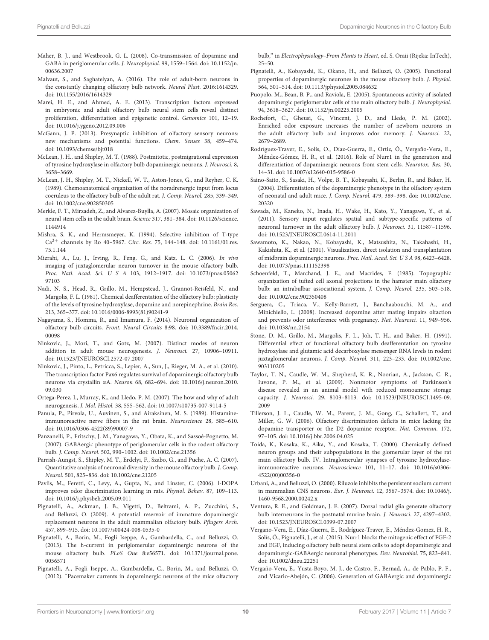- <span id="page-9-0"></span>Maher, B. J., and Westbrook, G. L. (2008). Co-transmission of dopamine and GABA in periglomerular cells. J. Neurophysiol. 99, 1559–1564. [doi: 10.1152/jn.](https://doi.org/10.1152/jn.00636.2007) [00636.2007](https://doi.org/10.1152/jn.00636.2007)
- <span id="page-9-23"></span>Malvaut, S., and Saghatelyan, A. (2016). The role of adult-born neurons in the constantly changing olfactory bulb network. Neural Plast. 2016:1614329. [doi: 10.1155/2016/1614329](https://doi.org/10.1155/2016/1614329)
- <span id="page-9-8"></span>Marei, H. E., and Ahmed, A. E. (2013). Transcription factors expressed in embryonic and adult olfactory bulb neural stem cells reveal distinct proliferation, differentiation and epigenetic control. Genomics 101, 12–19. [doi: 10.1016/j.ygeno.2012.09.006](https://doi.org/10.1016/j.ygeno.2012.09.006)
- <span id="page-9-35"></span>McGann, J. P. (2013). Presynaptic inhibition of olfactory sensory neurons: new mechanisms and potential functions. Chem. Senses 38, 459–474. [doi: 10.1093/chemse/bjt018](https://doi.org/10.1093/chemse/bjt018)
- <span id="page-9-1"></span>McLean, J. H., and Shipley, M. T. (1988). Postmitotic, postmigrational expression of tyrosine hydroxylase in olfactory bulb dopaminergic neurons. J. Neurosci. 8, 3658–3669.
- <span id="page-9-21"></span>McLean, J. H., Shipley, M. T., Nickell, W. T., Aston-Jones, G., and Reyher, C. K. (1989). Chemoanatomical organization of the noradrenergic input from locus coeruleus to the olfactory bulb of the adult rat. J. Comp. Neurol. 285, 339–349. [doi: 10.1002/cne.902850305](https://doi.org/10.1002/cne.902850305)
- <span id="page-9-24"></span>Merkle, F. T., Mirzadeh, Z., and Alvarez-Buylla, A. (2007). Mosaic organization of neural stem cells in the adult brain. Science 317, 381–384. [doi: 10.1126/science.](https://doi.org/10.1126/science.1144914) [1144914](https://doi.org/10.1126/science.1144914)
- <span id="page-9-19"></span>Mishra, S. K., and Hermsmeyer, K. (1994). Selective inhibition of T-type  $Ca^{2+}$  channels by Ro 40-5967. Circ. Res. 75, 144-148. [doi: 10.1161/01.res.](https://doi.org/10.1161/01.res.75.1.144) [75.1.144](https://doi.org/10.1161/01.res.75.1.144)
- <span id="page-9-5"></span>Mizrahi, A., Lu, J., Irving, R., Feng, G., and Katz, L. C. (2006). In vivo imaging of juxtaglomerular neuron turnover in the mouse olfactory bulb. Proc. Natl. Acad. Sci. U S A 103, 1912–1917. [doi: 10.1073/pnas.05062](https://doi.org/10.1073/pnas.0506297103) [97103](https://doi.org/10.1073/pnas.0506297103)
- <span id="page-9-33"></span>Nadi, N. S., Head, R., Grillo, M., Hempstead, J., Grannot-Reisfeld, N., and Margolis, F. L. (1981). Chemical deafferentation of the olfactory bulb: plasticity of the levels of tyrosine hydroxylase, dopamine and norepinephrine. Brain Res. 213, 365–377. [doi: 10.1016/0006-8993\(81\)90241-9](https://doi.org/10.1016/0006-8993(81)90241-9)
- <span id="page-9-12"></span>Nagayama, S., Homma, R., and Imamura, F. (2014). Neuronal organization of olfactory bulb circuits. Front. Neural Circuits 8:98. [doi: 10.3389/fncir.2014.](https://doi.org/10.3389/fncir.2014.00098) [00098](https://doi.org/10.3389/fncir.2014.00098)
- <span id="page-9-26"></span>Ninkovic, J., Mori, T., and Gotz, M. (2007). Distinct modes of neuron addition in adult mouse neurogenesis. J. Neurosci. 27, 10906–10911. [doi: 10.1523/JNEUROSCI.2572-07.2007](https://doi.org/10.1523/JNEUROSCI.2572-07.2007)
- <span id="page-9-25"></span>Ninkovic, J., Pinto, L., Petricca, S., Lepier, A., Sun, J., Rieger, M. A., et al. (2010). The transcription factor Pax6 regulates survival of dopaminergic olfactory bulb neurons via crystallin αA. Neuron 68, 682–694. [doi: 10.1016/j.neuron.2010.](https://doi.org/10.1016/j.neuron.2010.09.030) [09.030](https://doi.org/10.1016/j.neuron.2010.09.030)
- <span id="page-9-34"></span>Ortega-Perez, I., Murray, K., and Lledo, P. M. (2007). The how and why of adult neurogenesis. J. Mol. Histol. 38, 555–562. [doi: 10.1007/s10735-007-9114-5](https://doi.org/10.1007/s10735-007-9114-5)
- <span id="page-9-22"></span>Panula, P., Pirvola, U., Auvinen, S., and Airaksinen, M. S. (1989). Histamineimmunoreactive nerve fibers in the rat brain. Neuroscience 28, 585–610. [doi: 10.1016/0306-4522\(89\)90007-9](https://doi.org/10.1016/0306-4522(89)90007-9)
- <span id="page-9-2"></span>Panzanelli, P., Fritschy, J. M., Yanagawa, Y., Obata, K., and Sassoè-Pognetto, M. (2007). GABAergic phenotype of periglomerular cells in the rodent olfactory bulb. J. Comp. Neurol. 502, 990–1002. [doi: 10.1002/cne.21356](https://doi.org/10.1002/cne.21356)
- <span id="page-9-13"></span>Parrish-Aungst, S., Shipley, M. T., Erdelyi, F., Szabo, G., and Puche, A. C. (2007). Quantitative analysis of neuronal diversity in the mouse olfactory bulb. J. Comp. Neurol. 501, 825–836. [doi: 10.1002/cne.21205](https://doi.org/10.1002/cne.21205)
- <span id="page-9-36"></span>Pavlis, M., Feretti, C., Levy, A., Gupta, N., and Linster, C. (2006). l-DOPA improves odor discrimination learning in rats. Physiol. Behav. 87, 109–113. [doi: 10.1016/j.physbeh.2005.09.011](https://doi.org/10.1016/j.physbeh.2005.09.011)
- <span id="page-9-29"></span>Pignatelli, A., Ackman, J. B., Vigetti, D., Beltrami, A. P., Zucchini, S., and Belluzzi, O. (2009). A potential reservoir of immature dopaminergic replacement neurons in the adult mammalian olfactory bulb. Pflugers Arch. 457, 899–915. [doi: 10.1007/s00424-008-0535-0](https://doi.org/10.1007/s00424-008-0535-0)
- <span id="page-9-20"></span>Pignatelli, A., Borin, M., Fogli Iseppe, A., Gambardella, C., and Belluzzi, O. (2013). The h-current in periglomerular dopaminergic neurons of the mouse olfactory bulb. PLoS One 8:e56571. [doi: 10.1371/journal.pone.](https://doi.org/10.1371/journal.pone.0056571) [0056571](https://doi.org/10.1371/journal.pone.0056571)
- <span id="page-9-17"></span>Pignatelli, A., Fogli Iseppe, A., Gambardella, C., Borin, M., and Belluzzi, O. (2012). ''Pacemaker currents in dopaminergic neurons of the mice olfactory

bulb,'' in Electrophysiology–From Plants to Heart, ed. S. Oraii (Rijeka: InTech), 25–50.

- <span id="page-9-11"></span>Pignatelli, A., Kobayashi, K., Okano, H., and Belluzzi, O. (2005). Functional properties of dopaminergic neurones in the mouse olfactory bulb. J. Physiol. 564, 501–514. [doi: 10.1113/jphysiol.2005.084632](https://doi.org/10.1113/jphysiol.2005.084632)
- <span id="page-9-16"></span>Puopolo, M., Bean, B. P., and Raviola, E. (2005). Spontaneous activity of isolated dopaminergic periglomerular cells of the main olfactory bulb. J. Neurophysiol. 94, 3618–3627. [doi: 10.1152/jn.00225.2005](https://doi.org/10.1152/jn.00225.2005)
- <span id="page-9-27"></span>Rochefort, C., Gheusi, G., Vincent, J. D., and Lledo, P. M. (2002). Enriched odor exposure increases the number of newborn neurons in the adult olfactory bulb and improves odor memory. J. Neurosci. 22, 2679–2689.
- <span id="page-9-10"></span>Rodríguez-Traver, E., Solís, O., Díaz-Guerra, E., Ortiz, Ó., Vergaño-Vera, E., Méndez-Gómez, H. R., et al. (2016). Role of Nurr1 in the generation and differentiation of dopaminergic neurons from stem cells. Neurotox. Res. 30, 14–31. [doi: 10.1007/s12640-015-9586-0](https://doi.org/10.1007/s12640-015-9586-0)
- <span id="page-9-7"></span>Saino-Saito, S., Sasaki, H., Volpe, B. T., Kobayashi, K., Berlin, R., and Baker, H. (2004). Differentiation of the dopaminergic phenotype in the olfactory system of neonatal and adult mice. J. Comp. Neurol. 479, 389–398. [doi: 10.1002/cne.](https://doi.org/10.1002/cne.20320) [20320](https://doi.org/10.1002/cne.20320)
- <span id="page-9-28"></span>Sawada, M., Kaneko, N., Inada, H., Wake, H., Kato, Y., Yanagawa, Y., et al. (2011). Sensory input regulates spatial and subtype-specific patterns of neuronal turnover in the adult olfactory bulb. J. Neurosci. 31, 11587–11596. [doi: 10.1523/JNEUROSCI.0614-11.2011](https://doi.org/10.1523/JNEUROSCI.0614-11.2011)
- <span id="page-9-30"></span>Sawamoto, K., Nakao, N., Kobayashi, K., Matsushita, N., Takahashi, H., Kakishita, K., et al. (2001). Visualization, direct isolation and transplantation of midbrain dopaminergic neurons. Proc. Natl. Acad. Sci. U S A 98, 6423–6428. [doi: 10.1073/pnas.111152398](https://doi.org/10.1073/pnas.111152398)
- <span id="page-9-14"></span>Schoenfeld, T., Marchand, J. E., and Macrides, F. (1985). Topographic organization of tufted cell axonal projections in the hamster main olfactory bulb: an intrabulbar associational system. J. Comp. Neurol. 235, 503–518. [doi: 10.1002/cne.902350408](https://doi.org/10.1002/cne.902350408)
- <span id="page-9-37"></span>Serguera, C., Triaca, V., Kelly-Barrett, J., Banchaabouchi, M. A., and Minichiello, L. (2008). Increased dopamine after mating impairs olfaction and prevents odor interference with pregnancy. Nat. Neurosci. 11, 949–956. [doi: 10.1038/nn.2154](https://doi.org/10.1038/nn.2154)
- <span id="page-9-32"></span>Stone, D. M., Grillo, M., Margolis, F. L., Joh, T. H., and Baker, H. (1991). Differential effect of functional olfactory bulb deafferentation on tyrosine hydroxylase and glutamic acid decarboxylase messenger RNA levels in rodent juxtaglomerular neurons. J. Comp. Neurol. 311, 223–233. [doi: 10.1002/cne.](https://doi.org/10.1002/cne.903110205) [903110205](https://doi.org/10.1002/cne.903110205)
- <span id="page-9-4"></span>Taylor, T. N., Caudle, W. M., Shepherd, K. R., Noorian, A., Jackson, C. R., Iuvone, P. M., et al. (2009). Nonmotor symptoms of Parkinson's disease revealed in an animal model with reduced monoamine storage capacity. J. Neurosci. 29, 8103–8113. [doi: 10.1523/JNEUROSCI.1495-09.](https://doi.org/10.1523/JNEUROSCI.1495-09.2009) [2009](https://doi.org/10.1523/JNEUROSCI.1495-09.2009)
- <span id="page-9-3"></span>Tillerson, J. L., Caudle, W. M., Parent, J. M., Gong, C., Schallert, T., and Miller, G. W. (2006). Olfactory discrimination deficits in mice lacking the dopamine transporter or the D2 dopamine receptor. Nat. Commun. 172, 97–105. [doi: 10.1016/j.bbr.2006.04.025](https://doi.org/10.1016/j.bbr.2006.04.025)
- <span id="page-9-31"></span>Toida, K., Kosaka, K., Aika, Y., and Kosaka, T. (2000). Chemically defined neuron groups and their subpopulations in the glomerular layer of the rat main olfactory bulb. IV. Intraglomerular synapses of tyrosine hydroxylaseimmunoreactive neurons. Neuroscience 101, 11–17. [doi: 10.1016/s0306-](https://doi.org/10.1016/s0306-4522(00)00356-0) [4522\(00\)00356-0](https://doi.org/10.1016/s0306-4522(00)00356-0)
- <span id="page-9-18"></span>Urbani, A., and Belluzzi, O. (2000). Riluzole inhibits the persistent sodium current in mammalian CNS neurons. Eur. J. Neurosci. 12, 3567–3574. [doi: 10.1046/j.](https://doi.org/10.1046/j.1460-9568.2000.00242.x) [1460-9568.2000.00242.x](https://doi.org/10.1046/j.1460-9568.2000.00242.x)
- <span id="page-9-6"></span>Ventura, R. E., and Goldman, J. E. (2007). Dorsal radial glia generate olfactory bulb interneurons in the postnatal murine brain. J. Neurosci. 27, 4297–4302. [doi: 10.1523/JNEUROSCI.0399-07.2007](https://doi.org/10.1523/JNEUROSCI.0399-07.2007)
- <span id="page-9-9"></span>Vergaño-Vera, E., Díaz-Guerra, E., Rodríguez-Traver, E., Méndez-Gomez, H. R., Solís, Ó., Pignatelli, J., et al. (2015). Nurr1 blocks the mitogenic effect of FGF-2 and EGF, inducing olfactory bulb neural stem cells to adopt dopaminergic and dopaminergic-GABAergic neuronal phenotypes. Dev. Neurobiol. 75, 823–841. [doi: 10.1002/dneu.22251](https://doi.org/10.1002/dneu.22251)
- <span id="page-9-15"></span>Vergaño-Vera, E., Yusta-Boyo, M. J., de Castro, F., Bernad, A., de Pablo, P. F., and Vicario-Abejón, C. (2006). Generation of GABAergic and dopaminergic